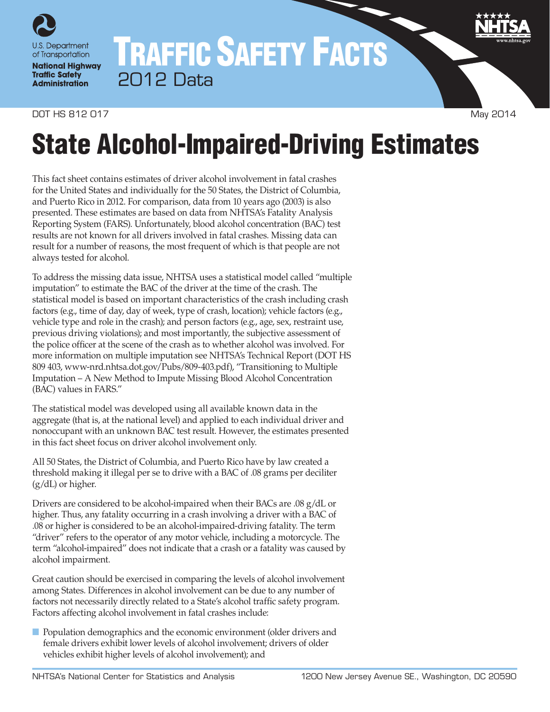

# TRAFFIC SAFETY FACTS 2012 Data

#### DOT HS 812 017 May 2014

# State Alcohol-Impaired-Driving Estimates

This fact sheet contains estimates of driver alcohol involvement in fatal crashes for the United States and individually for the 50 States, the District of Columbia, and Puerto Rico in 2012. For comparison, data from 10 years ago (2003) is also presented. These estimates are based on data from NHTSA's Fatality Analysis Reporting System (FARS). Unfortunately, blood alcohol concentration (BAC) test results are not known for all drivers involved in fatal crashes. Missing data can result for a number of reasons, the most frequent of which is that people are not always tested for alcohol.

To address the missing data issue, NHTSA uses a statistical model called "multiple imputation" to estimate the BAC of the driver at the time of the crash. The statistical model is based on important characteristics of the crash including crash factors (e.g., time of day, day of week, type of crash, location); vehicle factors (e.g., vehicle type and role in the crash); and person factors (e.g., age, sex, restraint use, previous driving violations); and most importantly, the subjective assessment of the police officer at the scene of the crash as to whether alcohol was involved. For more information on multiple imputation see NHTSA's Technical Report (DOT HS 809 403, [www-nrd.nhtsa.dot.gov/Pubs/809-403.pdf\)](http://www-nrd.nhtsa.dot.gov/Pubs/809-403.pdf), "Transitioning to Multiple Imputation – A New Method to Impute Missing Blood Alcohol Concentration (BAC) values in FARS."

The statistical model was developed using all available known data in the aggregate (that is, at the national level) and applied to each individual driver and nonoccupant with an unknown BAC test result. However, the estimates presented in this fact sheet focus on driver alcohol involvement only.

All 50 States, the District of Columbia, and Puerto Rico have by law created a threshold making it illegal per se to drive with a BAC of .08 grams per deciliter (g/dL) or higher.

Drivers are considered to be alcohol-impaired when their BACs are .08 g/dL or higher. Thus, any fatality occurring in a crash involving a driver with a BAC of .08 or higher is considered to be an alcohol-impaired-driving fatality. The term "driver" refers to the operator of any motor vehicle, including a motorcycle. The term "alcohol-impaired" does not indicate that a crash or a fatality was caused by alcohol impairment.

Great caution should be exercised in comparing the levels of alcohol involvement among States. Differences in alcohol involvement can be due to any number of factors not necessarily directly related to a State's alcohol traffic safety program. Factors affecting alcohol involvement in fatal crashes include:

■ Population demographics and the economic environment (older drivers and female drivers exhibit lower levels of alcohol involvement; drivers of older vehicles exhibit higher levels of alcohol involvement); and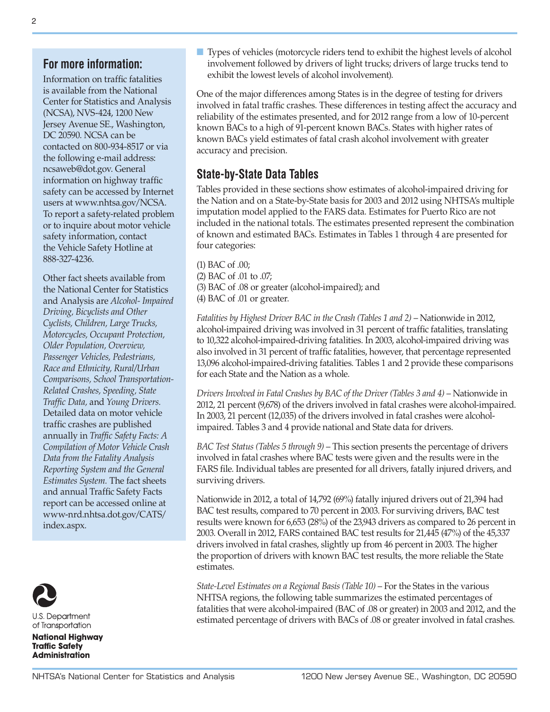### **For more information:**

Information on traffic fatalities is available from the National Center for Statistics and Analysis (NCSA), NVS-424, 1200 New Jersey Avenue SE., Washington, DC 20590. NCSA can be contacted on 800-934-8517 or via the following e-mail address: [ncsaweb@dot.gov](mailto:ncsaweb%40dot.gov?subject=). General information on highway traffic safety can be accessed by Internet users at [www.nhtsa.gov/NCSA](http://www.nhtsa.gov/NCSA). To report a safety-related problem or to inquire about motor vehicle safety information, contact the Vehicle Safety Hotline at 888-327-4236.

Other fact sheets available from the National Center for Statistics and Analysis are *Alcohol- Impaired Driving, Bicyclists and Other Cyclists, Children, Large Trucks, Motorcycles, Occupant Protection, Older Population, Overview, Passenger Vehicles, Pedestrians, Race and Ethnicity, Rural/Urban Comparisons, School Transportation-Related Crashes, Speeding, State Traffic Data,* and *Young Drivers.*  Detailed data on motor vehicle traffic crashes are published annually in *Traffic Safety Facts: A Compilation of Motor Vehicle Crash Data from the Fatality Analysis Reporting System and the General Estimates System.* The fact sheets and annual Traffic Safety Facts report can be accessed online at [www-nrd.nhtsa.dot.gov/CATS/](http://www-nrd.nhtsa.dot.gov/CATS/index.aspx) [index.aspx](http://www-nrd.nhtsa.dot.gov/CATS/index.aspx).



**U.S. Department** of Transportation

**National Highway Traffic Safety Administration** 

■ Types of vehicles (motorcycle riders tend to exhibit the highest levels of alcohol involvement followed by drivers of light trucks; drivers of large trucks tend to exhibit the lowest levels of alcohol involvement).

One of the major differences among States is in the degree of testing for drivers involved in fatal traffic crashes. These differences in testing affect the accuracy and reliability of the estimates presented, and for 2012 range from a low of 10-percent known BACs to a high of 91-percent known BACs. States with higher rates of known BACs yield estimates of fatal crash alcohol involvement with greater accuracy and precision.

## **State-by-State Data Tables**

Tables provided in these sections show estimates of alcohol-impaired driving for the Nation and on a State-by-State basis for 2003 and 2012 using NHTSA's multiple imputation model applied to the FARS data. Estimates for Puerto Rico are not included in the national totals. The estimates presented represent the combination of known and estimated BACs. Estimates in Tables 1 through 4 are presented for four categories:

(1) BAC of .00; (2) BAC of .01 to .07; (3) BAC of .08 or greater (alcohol-impaired); and (4) BAC of .01 or greater.

*Fatalities by Highest Driver BAC in the Crash (Tables 1 and 2)* – Nationwide in 2012, alcohol-impaired driving was involved in 31 percent of traffic fatalities, translating to 10,322 alcohol-impaired-driving fatalities. In 2003, alcohol-impaired driving was also involved in 31 percent of traffic fatalities, however, that percentage represented 13,096 alcohol-impaired-driving fatalities. Tables 1 and 2 provide these comparisons for each State and the Nation as a whole.

*Drivers Involved in Fatal Crashes by BAC of the Driver (Tables 3 and 4)* – Nationwide in 2012, 21 percent (9,678) of the drivers involved in fatal crashes were alcohol-impaired. In 2003, 21 percent (12,035) of the drivers involved in fatal crashes were alcoholimpaired. Tables 3 and 4 provide national and State data for drivers.

*BAC Test Status (Tables 5 through 9)* – This section presents the percentage of drivers involved in fatal crashes where BAC tests were given and the results were in the FARS file. Individual tables are presented for all drivers, fatally injured drivers, and surviving drivers.

Nationwide in 2012, a total of 14,792 (69%) fatally injured drivers out of 21,394 had BAC test results, compared to 70 percent in 2003. For surviving drivers, BAC test results were known for 6,653 (28%) of the 23,943 drivers as compared to 26 percent in 2003. Overall in 2012, FARS contained BAC test results for 21,445 (47%) of the 45,337 drivers involved in fatal crashes, slightly up from 46 percent in 2003. The higher the proportion of drivers with known BAC test results, the more reliable the State estimates.

*State-Level Estimates on a Regional Basis (Table 10)* – For the States in the various NHTSA regions, the following table summarizes the estimated percentages of fatalities that were alcohol-impaired (BAC of .08 or greater) in 2003 and 2012, and the estimated percentage of drivers with BACs of .08 or greater involved in fatal crashes.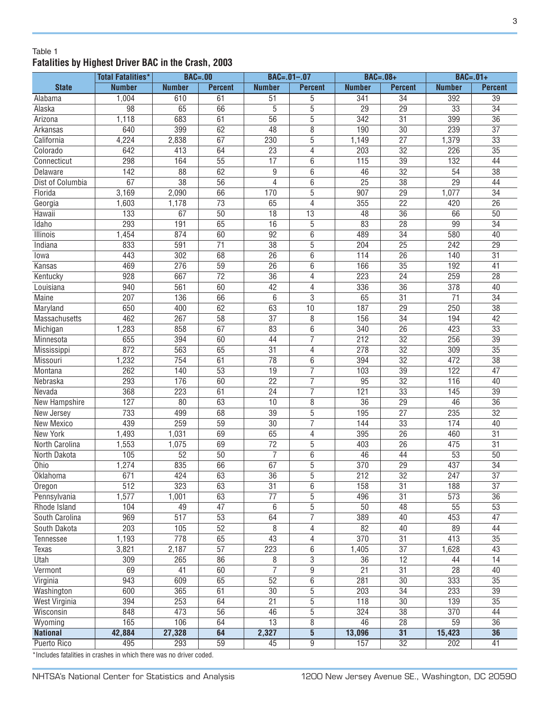#### Table 1 **Fatalities by Highest Driver BAC in the Crash, 2003**

|                      | <b>Total Fatalities*</b> | <b>BAC=.00</b>   |                 |                 | $BAC = .01 - .07$ | $BAC=.08+$       |                 | $BAC=.01+$       |                 |
|----------------------|--------------------------|------------------|-----------------|-----------------|-------------------|------------------|-----------------|------------------|-----------------|
| <b>State</b>         | <b>Number</b>            | <b>Number</b>    | <b>Percent</b>  | <b>Number</b>   | <b>Percent</b>    | <b>Number</b>    | <b>Percent</b>  | <b>Number</b>    | <b>Percent</b>  |
| Alabama              | 1,004                    | 610              | 61              | 51              | 5                 | 341              | $\overline{34}$ | 392              | 39              |
| Alaska               | 98                       | 65               | 66              | 5               | 5                 | 29               | 29              | 33               | 34              |
| Arizona              | 1,118                    | 683              | 61              | $\overline{56}$ | $\overline{5}$    | $\overline{342}$ | $\overline{31}$ | 399              | $\overline{36}$ |
| Arkansas             | 640                      | 399              | 62              | 48              | $\overline{8}$    | 190              | 30              | 239              | $\overline{37}$ |
| California           | 4,224                    | 2,838            | 67              | 230             | $\overline{5}$    | 1,149            | $\overline{27}$ | 1,379            | 33              |
| Colorado             | 642                      | 413              | 64              | $\overline{23}$ | 4                 | 203              | $\overline{32}$ | 226              | 35              |
| Connecticut          | 298                      | 164              | $\overline{55}$ | $\overline{17}$ | 6                 | 115              | $\overline{39}$ | 132              | 44              |
| Delaware             | 142                      | $\overline{88}$  | 62              | 9               | 6                 | 46               | $\overline{32}$ | 54               | $\overline{38}$ |
| Dist of Columbia     | 67                       | $\overline{38}$  | $\overline{56}$ | 4               | 6                 | $\overline{25}$  | $\overline{38}$ | $\overline{29}$  | 44              |
| Florida              | 3,169                    | 2,090            | 66              | 170             | $\overline{5}$    | 907              | 29              | 1,077            | $\overline{34}$ |
| Georgia              | 1,603                    | 1,178            | 73              | 65              | 4                 | 355              | 22              | 420              | 26              |
| Hawaii               | 133                      | 67               | 50              | 18              | 13                | 48               | 36              | 66               | 50              |
| Idaho                | 293                      | 191              | 65              | 16              | $\overline{5}$    | 83               | 28              | 99               | $\overline{34}$ |
| Illinois             | 1,454                    | 874              | 60              | 92              | $6\overline{6}$   | 489              | $\overline{34}$ | 580              | 40              |
| Indiana              | 833                      | 591              | $\overline{71}$ | 38              | $\overline{5}$    | 204              | $\overline{25}$ | 242              | 29              |
| lowa                 | 443                      | 302              | 68              | $\overline{26}$ | $\overline{6}$    | 114              | $\overline{26}$ | 140              | $\overline{31}$ |
| Kansas               | 469                      | 276              | $\overline{59}$ | $\overline{26}$ | $\overline{6}$    | 166              | $\overline{35}$ | 192              | 41              |
| Kentucky             | 928                      | 667              | $\overline{72}$ | $\overline{36}$ | 4                 | 223              | $\overline{24}$ | 259              | $\overline{28}$ |
| Louisiana            | 940                      | 561              | 60              | 42              | 4                 | 336              | $\overline{36}$ | 378              | $\overline{40}$ |
| <b>Maine</b>         | 207                      | 136              | 66              | 6               | $\overline{3}$    | 65               | $\overline{31}$ | $\overline{71}$  | $\overline{34}$ |
| Maryland             | 650                      | 400              | $\overline{62}$ | 63              | 10                | 187              | $\overline{29}$ | 250              | $\overline{38}$ |
| Massachusetts        | 462                      | 267              | 58              | 37              | 8                 | 156              | 34              | 194              | 42              |
| Michigan             | 1,283                    | 858              | 67              | 83              | $\overline{6}$    | 340              | 26              | 423              | 33              |
| Minnesota            | 655                      | 394              | 60              | 44              | $\overline{7}$    | 212              | 32              | 256              | 39              |
| Mississippi          | 872                      | 563              | 65              | 31              | 4                 | 278              | 32              | 309              | 35              |
| Missouri             | 1,232                    | 754              | 61              | 78              | 6                 | 394              | $\overline{32}$ | 472              | $\overline{38}$ |
| Montana              | 262                      | 140              | $\overline{53}$ | 19              | 7                 | 103              | $\overline{39}$ | 122              | 47              |
| Nebraska             | 293                      | 176              | 60              | $\overline{22}$ | 7                 | 95               | $\overline{32}$ | 116              | 40              |
| Nevada               | 368                      | 223              | 61              | $\overline{24}$ | 7                 | 121              | $\overline{33}$ | 145              | $\overline{39}$ |
| <b>New Hampshire</b> | 127                      | $\overline{80}$  | 63              | 10              | $\overline{8}$    | $\overline{36}$  | $\overline{29}$ | 46               | $\overline{36}$ |
| New Jersey           | 733                      | 499              | 68              | $\overline{39}$ | $\overline{5}$    | 195              | $\overline{27}$ | 235              | $\overline{32}$ |
| <b>New Mexico</b>    | 439                      | 259              | 59              | $\overline{30}$ | $\overline{7}$    | 144              | $\overline{33}$ | 174              | 40              |
| <b>New York</b>      | 1,493                    | 1,031            | 69              | 65              | 4                 | 395              | 26              | 460              | 31              |
| North Carolina       | 1,553                    | 1,075            | 69              | $\overline{72}$ | $\overline{5}$    | 403              | 26              | 475              | $\overline{31}$ |
| North Dakota         | 105                      | 52               | 50              | $\overline{7}$  | $\overline{6}$    | 46               | 44              | $\overline{53}$  | 50              |
| Ohio                 | 1,274                    | 835              | $\overline{66}$ | 67              | $\overline{5}$    | 370              | $\overline{29}$ | 437              | $\overline{34}$ |
| Oklahoma             | $\overline{671}$         | 424              | $\overline{63}$ | $\overline{36}$ | $\overline{5}$    | $\overline{212}$ | $\overline{32}$ | $\overline{247}$ | $\overline{37}$ |
| Oregon               | $\overline{512}$         | 323              | 63              | $\overline{31}$ | 6                 | 158              | $\overline{31}$ | 188              | $\overline{37}$ |
| Pennsylvania         | 1,577                    | 1,001            | 63              | $\overline{77}$ | $\overline{5}$    | 496              | $\overline{31}$ | 573              | $\overline{36}$ |
| Rhode Island         | 104                      | 49               | 47              | 6               | $\overline{5}$    | 50               | 48              | 55               | 53              |
| South Carolina       | 969                      | $\overline{517}$ | 53              | 64              | $\overline{7}$    | 389              | 40              | 453              | 47              |
| South Dakota         | 203                      | 105              | 52              | 8               | 4                 | 82               | 40              | 89               | 44              |
| Tennessee            | 1,193                    | 778              | 65              | 43              | 4                 | 370              | 31              | 413              | 35              |
| Texas                | 3,821                    | 2,187            | 57              | 223             | 6                 | 1,405            | 37              | 1,628            | 43              |
| Utah                 | 309                      | 265              | 86              | 8               | $\overline{3}$    | 36               | 12              | 44               | 14              |
| Vermont              | 69                       | 41               | 60              | 7               | $\overline{9}$    | 21               | 31              | 28               | 40              |
| Virginia             | 943                      | 609              | 65              | 52              | 6                 | 281              | $\overline{30}$ | 333              | 35              |
| Washington           | 600                      | 365              | 61              | $\overline{30}$ | $\overline{5}$    | $\overline{203}$ | $\overline{34}$ | 233              | $\overline{39}$ |
| West Virginia        | 394                      | 253              | 64              | $\overline{21}$ | $\overline{5}$    | 118              | $\overline{30}$ | 139              | $\overline{35}$ |
| Wisconsin            | 848                      | 473              | $\overline{56}$ | 46              | $\overline{5}$    | 324              | $\overline{38}$ | 370              | 44              |
| Wyoming              | 165                      | 106              | 64              | $\overline{13}$ | $\overline{8}$    | 46               | $\overline{28}$ | 59               | 36              |
| <b>National</b>      | 42,884                   | 27,328           | 64              | 2,327           | $\overline{5}$    | 13,096           | $\overline{31}$ | 15,423           | $\overline{36}$ |
| <b>Puerto Rico</b>   | 495                      | 293              | $\overline{59}$ | 45              | $\overline{9}$    | 157              | $\overline{32}$ | 202              | 41              |
|                      |                          |                  |                 |                 |                   |                  |                 |                  |                 |

\*Includes fatalities in crashes in which there was no driver coded.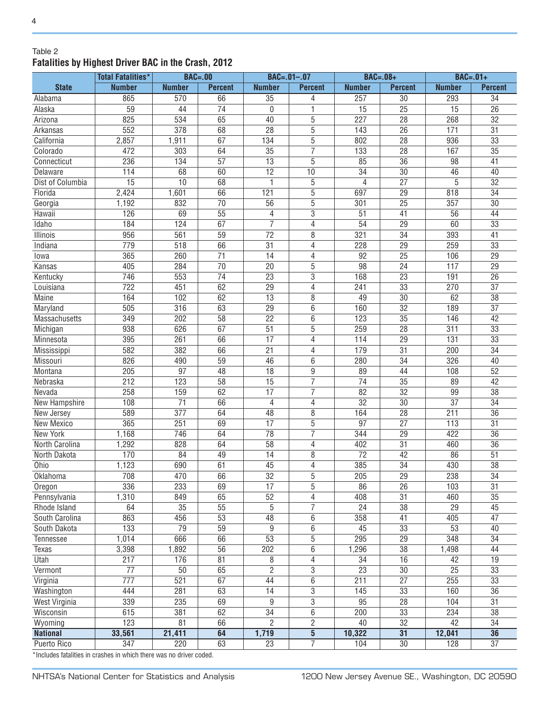#### Table 2 **Fatalities by Highest Driver BAC in the Crash, 2012**

|                      | <b>Total Fatalities*</b> | <b>BAC=.00</b>  |                 |                 | $BAC = .01 - .07$ | $BAC=.08+$       |                 | $BAC=.01+$      |                 |
|----------------------|--------------------------|-----------------|-----------------|-----------------|-------------------|------------------|-----------------|-----------------|-----------------|
| <b>State</b>         | <b>Number</b>            | <b>Number</b>   | <b>Percent</b>  | <b>Number</b>   | <b>Percent</b>    | <b>Number</b>    | <b>Percent</b>  | <b>Number</b>   | <b>Percent</b>  |
| Alabama              | 865                      | 570             | 66              | 35              | 4                 | 257              | 30              | 293             | 34              |
| Alaska               | $\overline{59}$          | 44              | $\overline{74}$ | $\mathbf{0}$    | 1                 | $\overline{15}$  | $\overline{25}$ | $\overline{15}$ | $\overline{26}$ |
| Arizona              | 825                      | 534             | 65              | 40              | 5                 | $\overline{227}$ | $\overline{28}$ | 268             | $\overline{32}$ |
| Arkansas             | 552                      | 378             | 68              | $\overline{28}$ | 5                 | 143              | $\overline{26}$ | 171             | $\overline{31}$ |
| California           | 2,857                    | 1,911           | 67              | 134             | 5                 | 802              | 28              | 936             | 33              |
| Colorado             | 472                      | 303             | 64              | 35              | 7                 | 133              | 28              | 167             | 35              |
| Connecticut          | 236                      | 134             | 57              | 13              | 5                 | 85               | 36              | 98              | 41              |
| Delaware             | 114                      | 68              | 60              | $\overline{12}$ | 10                | $\overline{34}$  | 30              | 46              | 40              |
| Dist of Columbia     | 15                       | 10              | 68              | 1               | 5                 | 4                | $\overline{27}$ | 5               | $\overline{32}$ |
| Florida              | 2,424                    | 1,601           | 66              | 121             | $\overline{5}$    | 697              | $\overline{29}$ | 818             | $\overline{34}$ |
| Georgia              | 1,192                    | 832             | $\overline{70}$ | 56              | 5                 | 301              | $\overline{25}$ | 357             | $\overline{30}$ |
| Hawaii               | 126                      | 69              | $\overline{55}$ | 4               | $\overline{3}$    | $\overline{51}$  | 41              | $\overline{56}$ | $\overline{44}$ |
| Idaho                | 184                      | 124             | 67              | $\overline{7}$  | $\overline{4}$    | 54               | $\overline{29}$ | 60              | $\overline{33}$ |
| Illinois             | 956                      | 561             | $\overline{59}$ | $\overline{72}$ | $\overline{8}$    | 321              | $\overline{34}$ | 393             | $\overline{41}$ |
| Indiana              | 779                      | 518             | 66              | 31              | 4                 | 228              | 29              | 259             | 33              |
| lowa                 | 365                      | 260             | 71              | $\overline{14}$ | 4                 | 92               | $\overline{25}$ | 106             | $\overline{29}$ |
| Kansas               | 405                      | 284             | 70              | 20              | 5                 | 98               | 24              | 117             | $\overline{29}$ |
| Kentucky             | 746                      | 553             | 74              | $\overline{23}$ | $\overline{3}$    | 168              | $\overline{23}$ | 191             | $\overline{26}$ |
| Louisiana            | 722                      | 451             | 62              | 29              | 4                 | 241              | 33              | 270             | $\overline{37}$ |
| <b>Maine</b>         | 164                      | 102             | 62              | $\overline{13}$ | 8                 | 49               | $\overline{30}$ | 62              | $\overline{38}$ |
| Maryland             | 505                      | 316             | 63              | $\overline{29}$ | 6                 | 160              | $\overline{32}$ | 189             | $\overline{37}$ |
| Massachusetts        | 349                      | 202             | $\overline{58}$ | $\overline{22}$ | 6                 | 123              | $\overline{35}$ | 146             | $\overline{42}$ |
| Michigan             | 938                      | 626             | 67              | $\overline{51}$ | 5                 | 259              | $\overline{28}$ | 311             | 33              |
| Minnesota            | 395                      | 261             | 66              | $\overline{17}$ | 4                 | 114              | $\overline{29}$ | 131             | 33              |
| Mississippi          | 582                      | 382             | 66              | 21              | 4                 | 179              | 31              | 200             | 34              |
| Missouri             | 826                      | 490             | 59              | 46              | 6                 | 280              | 34              | 326             | 40              |
| Montana              | 205                      | 97              | 48              | 18              | 9                 | 89               | 44              | 108             | 52              |
| Nebraska             | 212                      | 123             | 58              | 15              | $\overline{7}$    | 74               | $\overline{35}$ | 89              | 42              |
| Nevada               | 258                      | 159             | 62              | 17              | 7                 | 82               | $\overline{32}$ | 99              | $\overline{38}$ |
| <b>New Hampshire</b> | 108                      | $\overline{71}$ | 66              | 4               | 4                 | $\overline{32}$  | $\overline{30}$ | $\overline{37}$ | $\overline{34}$ |
| New Jersey           | 589                      | 377             | 64              | 48              | $\overline{8}$    | 164              | $\overline{28}$ | 211             | $\overline{36}$ |
| <b>New Mexico</b>    | 365                      | 251             | 69              | $\overline{17}$ | $\overline{5}$    | $\overline{97}$  | $\overline{27}$ | 113             | $\overline{31}$ |
| <b>New York</b>      | 1,168                    | 746             | 64              | $\overline{78}$ | $\overline{7}$    | 344              | $\overline{29}$ | 422             | $\overline{36}$ |
| North Carolina       | 1,292                    | 828             | 64              | 58              | 4                 | 402              | $\overline{31}$ | 460             | $\overline{36}$ |
| North Dakota         | 170                      | 84              | 49              | $\overline{14}$ | 8                 | $\overline{72}$  | $\overline{42}$ | 86              | $\overline{51}$ |
| Ohio                 | 1,123                    | 690             | 61              | $\overline{45}$ | 4                 | 385              | $\overline{34}$ | 430             | $\overline{38}$ |
| Oklahoma             | 708                      | 470             | 66              | $\overline{32}$ | 5                 | 205              | 29              | 238             | $\overline{34}$ |
| Oregon               | 336                      | 233             | 69              | 17              | 5                 | 86               | $\overline{26}$ | 103             | 31              |
| Pennsylvania         | 1,310                    | 849             | 65              | 52              | 4                 | 408              | 31              | 460             | 35              |
| Rhode Island         | 64                       | $\overline{35}$ | 55              | $\overline{5}$  | $\overline{7}$    | $\overline{24}$  | $\overline{38}$ | $\overline{29}$ | 45              |
| South Carolina       | 863                      | 456             | 53              | 48              | 6                 | 358              | 41              | 405             | 47              |
| South Dakota         | 133                      | 79              | 59              | 9               | 6                 | 45               | 33              | 53              | 40              |
| Tennessee            | 1,014                    | 666             | 66              | 53              | 5                 | 295              | $\overline{29}$ | 348             | 34              |
| <b>Texas</b>         | 3,398                    | 1,892           | 56              | 202             | 6                 | 1,296            | 38              | 1,498           | 44              |
| Utah                 | 217                      | 176             | 81              | 8               | 4                 | 34               | 16              | 42              | 19              |
| Vermont              | 77                       | 50              | 65              | $\overline{c}$  | 3                 | 23               | 30              | 25              | 33              |
| Virginia             | 777                      | 521             | 67              | 44              | $6\,$             | 211              | 27              | 255             | 33              |
| Washington           | 444                      | 281             | 63              | 14              | $\overline{3}$    | 145              | 33              | 160             | 36              |
| West Virginia        | 339                      | 235             | 69              | 9               | $\overline{3}$    | 95               | 28              | 104             | 31              |
| Wisconsin            | 615                      | 381             | 62              | $\overline{34}$ | 6                 | 200              | 33              | 234             | 38              |
|                      | 123                      | 81              | 66              | $\overline{2}$  | $\overline{2}$    | 40               | $\overline{32}$ | 42              | $\overline{34}$ |
| Wyoming              |                          |                 | 64              |                 | $\overline{5}$    | 10,322           | $\overline{31}$ |                 | 36              |
| <b>National</b>      | 33,561                   | 21,411          | 63              | 1,719           | $\overline{7}$    |                  | $\overline{30}$ | 12,041          | $\overline{37}$ |
| Puerto Rico          | $\overline{347}$         | 220             |                 | $\overline{23}$ |                   | 104              |                 | 128             |                 |

\*Includes fatalities in crashes in which there was no driver coded.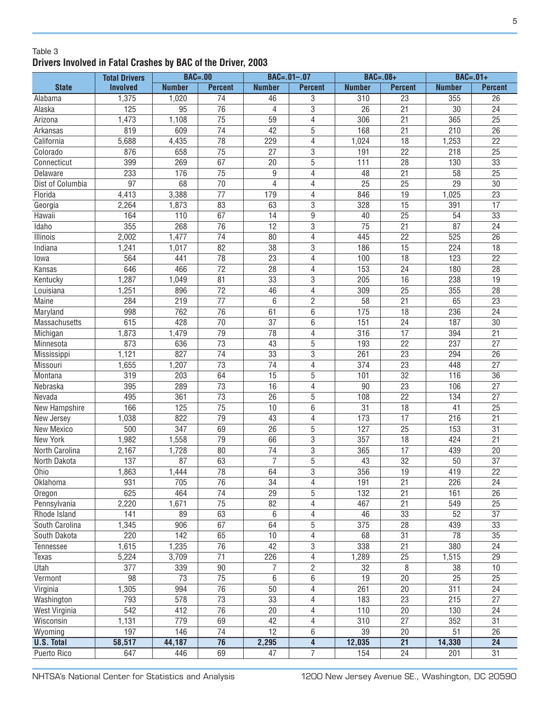#### Table 3 **Drivers Involved in Fatal Crashes by BAC of the Driver, 2003**

|                      | <b>Total Drivers</b> | $BAC = .00$     |                                    |                                    | $BAC = .01 - .07$       | $BAC=.08+$       |                                    | $BAC=.01+$      |                 |
|----------------------|----------------------|-----------------|------------------------------------|------------------------------------|-------------------------|------------------|------------------------------------|-----------------|-----------------|
| <b>State</b>         | <b>Involved</b>      | <b>Number</b>   | <b>Percent</b>                     | <b>Number</b>                      | <b>Percent</b>          | <b>Number</b>    | <b>Percent</b>                     | <b>Number</b>   | <b>Percent</b>  |
| Alabama              | 1,375                | 1,020           | 74                                 | 46                                 | 3                       | 310              | $\overline{23}$                    | 355             | $\overline{26}$ |
| Alaska               | 125                  | 95              | $\overline{76}$                    | 4                                  | 3                       | 26               | $\overline{21}$                    | 30              | $\overline{24}$ |
| Arizona              | 1,473                | 1,108           | $\overline{75}$                    | 59                                 | $\overline{4}$          | 306              | $\overline{21}$                    | 365             | $\overline{25}$ |
| Arkansas             | 819                  | 609             | 74                                 | 42                                 | 5                       | 168              | 21                                 | 210             | 26              |
| California           | 5,688                | 4,435           | 78                                 | 229                                | $\overline{4}$          | 1,024            | 18                                 | 1,253           | $\overline{22}$ |
| Colorado             | 876                  | 658             | $\overline{75}$                    | $\overline{27}$                    | $\overline{3}$          | 191              | $\overline{22}$                    | 218             | $\overline{25}$ |
| Connecticut          | 399                  | 269             | 67                                 | 20                                 | 5                       | 111              | $\overline{28}$                    | 130             | $\overline{33}$ |
| Delaware             | 233                  | 176             | $\overline{75}$                    | 9                                  | $\overline{4}$          | 48               | $\overline{21}$                    | $\overline{58}$ | $\overline{25}$ |
| Dist of Columbia     | $\overline{97}$      | 68              | 70                                 | 4                                  | $\overline{4}$          | 25               | 25                                 | $\overline{29}$ | 30              |
| Florida              | 4,413                | 3,388           | $\overline{77}$                    | 179                                | $\overline{4}$          | 846              | 19                                 | 1,025           | 23              |
| Georgia              | 2,264                | 1,873           | 83                                 | 63                                 | $\overline{3}$          | 328              | 15                                 | 391             | 17              |
| Hawaii               | 164                  | 110             | 67                                 | 14                                 | 9                       | 40               | 25                                 | 54              | 33              |
| Idaho                | 355                  | 268             | 76                                 | $\overline{12}$                    | 3                       | $\overline{75}$  | 21                                 | 87              | $\overline{24}$ |
| Illinois             | 2,002                | 1,477           | 74                                 | 80                                 | 4                       | 445              | 22                                 | 525             | 26              |
| Indiana              | 1,241                | 1,017           | 82                                 | 38                                 | 3                       | 186              | 15                                 | 224             | 18              |
| lowa                 | 564                  | 441             | 78                                 | 23                                 | 4                       | 100              | 18                                 | 123             | 22              |
| Kansas               | 646                  | 466             | 72                                 | 28                                 | 4                       | 153              | 24                                 | 180             | 28              |
| Kentucky             | 1,287                | 1,049           | 81                                 | 33                                 | 3                       | 205              | 16                                 | 238             | 19              |
| Louisiana            | 1,251                | 896             | $\overline{72}$                    | 46                                 | 4                       | 309              | $\overline{25}$                    | 355             | 28              |
| Maine                | 284                  | 219             | 77                                 | 6                                  | $\overline{2}$          | 58               | 21                                 | 65              | 23              |
| Maryland             | 998                  | 762             | 76                                 | 61                                 | 6                       | 175              | 18                                 | 236             | 24              |
| Massachusetts        | 615                  | 428             | 70                                 | 37                                 | 6                       | 151              | 24                                 | 187             | 30              |
| Michigan             | 1,873                | 1,479           | 79                                 | 78                                 | 4                       | 316              | 17                                 | 394             | $\overline{21}$ |
| Minnesota            | 873                  | 636             | 73                                 | 43                                 | 5                       | 193              | 22                                 | 237             | $\overline{27}$ |
| Mississippi          | 1,121                | 827             | 74                                 | 33                                 | $\overline{3}$          | 261              | 23                                 | 294             | 26              |
| Missouri             | 1,655                | 1,207           | 73                                 | 74                                 | 4                       | 374              | 23                                 | 448             | 27              |
| Montana              | 319                  | 203             | 64                                 | 15                                 | $\overline{5}$          | 101              | $\overline{32}$                    | 116             | 36              |
| Nebraska             | 395                  | 289             | 73                                 | 16                                 | $\overline{4}$          | 90               | $\overline{23}$                    | 106             | 27              |
| Nevada               | 495                  | 361             | $\overline{73}$                    | 26                                 | $\overline{5}$          | 108              | $\overline{22}$                    | 134             | $\overline{27}$ |
| <b>New Hampshire</b> | 166                  | 125             | $\overline{75}$                    | 10                                 | $\overline{6}$          | $\overline{31}$  | $\overline{18}$                    | 41              | $\overline{25}$ |
| New Jersey           | 1,038                | 822             | 79                                 | 43                                 | $\overline{4}$          | 173              | $\overline{17}$                    | 216             | $\overline{21}$ |
| New Mexico           | 500                  | 347             | 69                                 | 26                                 | 5                       | 127              | 25                                 | 153             | 31              |
| New York             | 1,982                | 1,558           | 79                                 | 66                                 | $\overline{3}$          | 357              | 18                                 | 424             | $\overline{21}$ |
| North Carolina       | 2,167                | 1,728           | 80                                 | $\overline{74}$                    | $\overline{3}$          | 365              | $\overline{17}$                    | 439             | 20              |
| North Dakota         | 137                  | 87              | 63                                 | $\overline{7}$                     | $\overline{5}$          | 43               | $\overline{32}$                    | 50              | $\overline{37}$ |
| Ohio                 | 1,863                | 1,444           | $\overline{78}$                    | 64                                 | $\overline{3}$          | 356              | $\overline{19}$                    | 419             | $\overline{22}$ |
| Oklahoma             | 931                  | 705             | 76                                 | 34                                 | $\overline{4}$          | 191              | 21                                 | 226             | 24              |
| Oregon               | 625                  | 464             | $\overline{74}$                    | $\overline{29}$                    | 5                       | 132              | 21                                 | 161             | $\overline{26}$ |
| Pennsylvania         | 2,220                | 1,671           | $\overline{75}$                    | $\overline{82}$                    | $\overline{4}$          | 467              | $\overline{21}$                    | 549             | 25              |
| Rhode Island         | 141                  | 89              | 63                                 | 6                                  | $\overline{4}$          | 46               | 33                                 | 52              | $\overline{37}$ |
| South Carolina       | 1,345                | 906             | 67                                 | 64                                 | $\overline{5}$          | 375              | $\overline{28}$                    | 439             | 33              |
| South Dakota         | 220                  | 142             | 65                                 | $\overline{10}$                    | $\overline{4}$          | 68               | $\overline{31}$                    | 78              | $\overline{35}$ |
| Tennessee            | 1,615                | 1,235           | 76                                 | 42                                 | 3                       | 338              | $\overline{21}$                    | 380             | 24              |
| Texas                | 5,224                | 3,709           | $\overline{71}$                    | 226                                | $\overline{4}$          | 1,289            | $\overline{25}$                    | 1,515           | $\overline{29}$ |
| Utah                 | 377                  | 339             | 90                                 | 7                                  | $\overline{2}$          | 32               | 8                                  | 38              | 10              |
| Vermont              | 98                   | $\overline{73}$ | $\overline{75}$                    | 6                                  | $\overline{6}$          | 19               | $\overline{20}$                    | $\overline{25}$ | $\overline{25}$ |
| Virginia             | 1,305                | 994             | $\overline{76}$                    | 50                                 | $\overline{4}$          | $\overline{261}$ | 20                                 | 311             | 24              |
|                      |                      |                 |                                    |                                    |                         |                  |                                    |                 |                 |
| Washington           | 793<br>542           | 578<br>412      | 73<br>$\overline{76}$              | $\overline{33}$<br>$\overline{20}$ | $\overline{4}$          | 183              | $\overline{23}$<br>$\overline{20}$ | 215             | 27              |
| West Virginia        |                      |                 |                                    |                                    | 4                       | 110              | $\overline{27}$                    | 130             | 24              |
| Wisconsin            | 1,131                | 779             | 69                                 | 42<br>$\overline{12}$              | 4                       | 310              |                                    | 352             | 31              |
| Wyoming              | 197                  | 146             | $\overline{74}$<br>$\overline{76}$ |                                    | 6                       | 39               | 20                                 | 51              | 26              |
| <b>U.S. Total</b>    | 58,517               | 44,187          |                                    | 2,295                              | $\overline{\mathbf{4}}$ | 12,035           | $\overline{21}$                    | 14,330          | $\overline{24}$ |
| <b>Puerto Rico</b>   | 647                  | 446             | 69                                 | 47                                 | $\overline{7}$          | 154              | $\overline{24}$                    | 201             | $\overline{31}$ |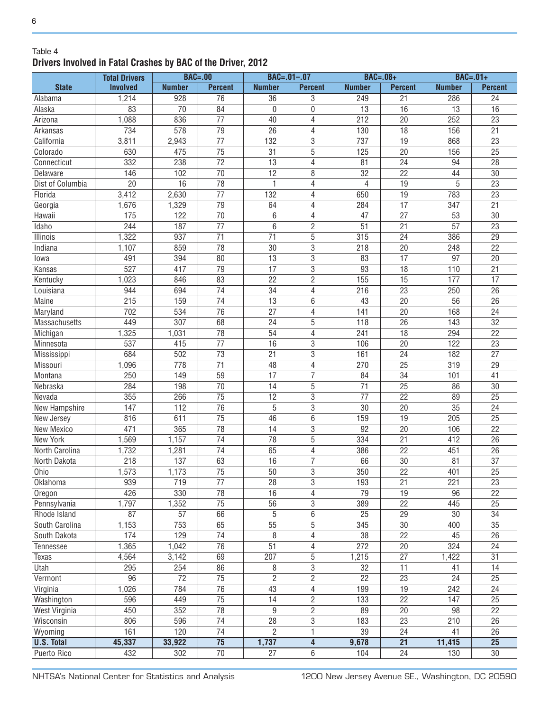#### Table 4 **Drivers Involved in Fatal Crashes by BAC of the Driver, 2012**

|                    | <b>Total Drivers</b> |                 | <b>BAC=.00</b>                     |                      | $BAC = .01 - .07$                | $BAC=.08+$      |                       | $BAC=.01+$             |                                    |
|--------------------|----------------------|-----------------|------------------------------------|----------------------|----------------------------------|-----------------|-----------------------|------------------------|------------------------------------|
| <b>State</b>       | <b>Involved</b>      | <b>Number</b>   | <b>Percent</b>                     | <b>Number</b>        | <b>Percent</b>                   | <b>Number</b>   | <b>Percent</b>        | <b>Number</b>          | <b>Percent</b>                     |
| Alabama            | 1,214                | 928             | 76                                 | 36                   | 3                                | 249             | 21                    | 286                    | 24                                 |
| Alaska             | 83                   | 70              | 84                                 | $\mathbf{0}$         | 0                                | 13              | 16                    | 13                     | 16                                 |
| Arizona            | 1,088                | 836             | $\overline{77}$                    | 40                   | 4                                | 212             | $\overline{20}$       | 252                    | $\overline{23}$                    |
| Arkansas           | 734                  | 578             | $\overline{79}$                    | 26                   | 4                                | 130             | $\overline{18}$       | 156                    | $\overline{21}$                    |
| California         | 3,811                | 2,943           | $\overline{77}$                    | 132                  | 3                                | 737             | 19                    | 868                    | $\overline{23}$                    |
| Colorado           | 630                  | 475             | $\overline{75}$                    | 31                   | 5                                | 125             | $\overline{20}$       | 156                    | $\overline{25}$                    |
| Connecticut        | 332                  | 238             | $\overline{72}$                    | $\overline{13}$      | 4                                | 81              | $\overline{24}$       | 94                     | $\overline{28}$                    |
| Delaware           | 146                  | 102             | $\overline{70}$                    | $\overline{12}$      | 8                                | $\overline{32}$ | $\overline{22}$       | 44                     | $\overline{30}$                    |
| Dist of Columbia   | $\overline{20}$      | $\overline{16}$ | $\overline{78}$                    | 1                    | 4                                | 4               | 19                    | 5                      | $\overline{23}$                    |
| Florida            | 3,412                | 2,630           | $\overline{77}$                    | 132                  | 4                                | 650             | $\overline{19}$       | 783                    | $\overline{23}$                    |
| Georgia            | 1,676                | 1,329           | 79                                 | 64                   | 4                                | 284             | $\overline{17}$       | 347                    | 21                                 |
| Hawaii             | 175                  | 122             | 70                                 | 6                    | 4                                | 47              | $\overline{27}$       | 53                     | 30                                 |
| Idaho              | 244                  | 187             | $\overline{77}$                    | 6                    | $\overline{2}$                   | 51              | 21                    | 57                     | 23                                 |
| Illinois           | 1,322                | 937             | $\overline{71}$                    | 71                   | 5                                | 315             | 24                    | 386                    | $\overline{29}$                    |
| Indiana            | 1,107                | 859             | $\overline{78}$                    | 30                   | 3                                | 218             | 20                    | 248                    | $\overline{22}$                    |
| lowa               | 491                  | 394             | 80                                 | 13                   | 3                                | 83              | $\overline{17}$       | 97                     | 20                                 |
| Kansas             | $\overline{527}$     | 417             | $\overline{79}$                    | $\overline{17}$      | $\overline{3}$                   | 93              | 18                    | 110                    | 21                                 |
| Kentucky           | 1,023                | 846             | 83                                 | 22                   | $\mathbf{2}$                     | 155             | 15                    | 177                    | 17                                 |
| Louisiana          | 944                  | 694             | $\overline{74}$                    | 34                   | 4                                | 216             | 23                    | 250                    | 26                                 |
| Maine              | 215                  | 159             | $\overline{74}$                    | 13                   | 6                                | 43              | 20                    | 56                     | 26                                 |
| Maryland           | 702                  | 534             | $\overline{76}$                    | 27                   | 4                                | 141             | 20                    | 168                    | 24                                 |
| Massachusetts      | 449                  | 307             | 68                                 | 24                   | 5                                | 118             | 26                    | 143                    | 32                                 |
| Michigan           | 1,325                | 1,031           | 78                                 | 54                   | 4                                | 241             | 18                    | 294                    | 22                                 |
| Minnesota          | 537                  | 415             | 77                                 | 16                   | 3                                | 106             | 20                    | 122                    | 23                                 |
| Mississippi        | 684                  | 502             | 73                                 | 21                   | 3                                | 161             | 24                    | 182                    | 27                                 |
| Missouri           | 1,096                | 778             | 71                                 | 48                   | 4                                | 270             | 25                    | 319                    | 29                                 |
| Montana            | 250                  | 149             | 59                                 | 17                   | 7                                | 84              | 34                    | 101                    | 41                                 |
| Nebraska           | 284                  | 198             | 70                                 | 14                   | 5                                | 71              | $\overline{25}$       | 86                     | 30                                 |
| Nevada             | 355                  | 266             | 75                                 | 12                   | 3                                | 77              | 22                    | 89                     | 25                                 |
| New Hampshire      | 147                  | 112             | 76                                 | 5                    | $\overline{3}$                   | 30              | 20                    | 35                     | 24                                 |
| New Jersey         | 816                  | 611             | 75                                 | 46                   | 6                                | 159             | 19                    | 205                    | $\overline{25}$                    |
| New Mexico         | 471                  | 365             | 78                                 | 14                   | 3                                | 92              | 20                    | 106                    | $\overline{22}$                    |
| New York           | 1,569                | 1,157           | 74                                 | 78                   | $\overline{5}$                   | 334             | 21                    | 412                    | 26                                 |
| North Carolina     | 1,732                | 1,281           | 74                                 | 65                   | 4                                | 386             | 22                    | 451                    | 26                                 |
| North Dakota       | 218                  | 137             | 63                                 | 16                   | 7                                | 66              | 30                    | 81                     | 37                                 |
| Ohio               | 1,573                | 1,173           | $\overline{75}$                    | 50                   | 3                                | 350             | $\overline{22}$       | 401                    | $\overline{25}$                    |
| Oklahoma           | 939                  | 719             | 77                                 | 28                   | 3                                | 193             | 21                    | 221                    | 23                                 |
| Oregon             | 426                  | 330             | $\overline{78}$                    | 16                   | 4                                | 79              | 19                    | 96                     | $\overline{22}$                    |
| Pennsylvania       | 1,797                | 1,352           | 75                                 | 56                   | 3                                | 389             | $\overline{22}$       | 445                    | $\overline{25}$                    |
| Rhode Island       | 87                   | 57              | 66                                 | $\sqrt{5}$           | 6                                | 25              | 29                    | 30                     | 34                                 |
| South Carolina     | 1,153                | 753             | 65                                 | $\overline{55}$      | $\overline{5}$                   | 345             | 30                    | 400                    | $\overline{35}$                    |
| South Dakota       | 174                  | 129             | 74                                 | 8                    | 4                                | $\overline{38}$ | 22                    | 45                     | 26                                 |
| Tennessee          | 1,365                | 1,042           | $\overline{76}$                    | $\overline{51}$      | 4                                | 272             | 20                    | 324                    | $\overline{24}$                    |
| Texas              | 4,564                | 3,142           | 69                                 | 207                  | 5                                | 1,215           | 27                    | 1,422                  | 31                                 |
| Utah               | 295                  | 254             | 86                                 | 8                    | 3                                | 32              | 11                    | 41                     | 14                                 |
| Vermont            | 96                   | $\overline{72}$ | $\overline{75}$                    | $\overline{2}$       | $\overline{2}$                   | $\overline{22}$ | $\overline{23}$       | 24                     | $\overline{25}$                    |
| Virginia           | 1,026                | 784             | $\overline{76}$                    | 43                   | $\overline{4}$                   | 199             | 19                    | 242                    | 24                                 |
|                    |                      |                 |                                    |                      |                                  |                 |                       |                        |                                    |
| Washington         | 596<br>450           | 449<br>352      | $\overline{75}$<br>$\overline{78}$ | 14<br>$\overline{9}$ | $\overline{2}$<br>$\overline{2}$ | 133<br>89       | $\overline{22}$<br>20 | 147<br>$\overline{98}$ | $\overline{25}$<br>$\overline{22}$ |
| West Virginia      | 806                  |                 | $\overline{74}$                    | $\overline{28}$      |                                  |                 | $\overline{23}$       |                        |                                    |
| Wisconsin          |                      | 596             | $\overline{74}$                    |                      | 3                                | 183             |                       | 210                    | 26                                 |
| Wyoming            | 161                  | 120             |                                    | $\overline{2}$       | 1                                | 39              | 24                    | 41                     | 26                                 |
| <b>U.S. Total</b>  | 45,337               | 33,922          | $\overline{75}$                    | 1,737                | $\overline{\mathbf{4}}$          | 9,678           | $\overline{21}$       | 11,415                 | $\overline{25}$                    |
| <b>Puerto Rico</b> | 432                  | 302             | $\overline{70}$                    | $\overline{27}$      | $\overline{6}$                   | 104             | $\overline{24}$       | 130                    | $\overline{30}$                    |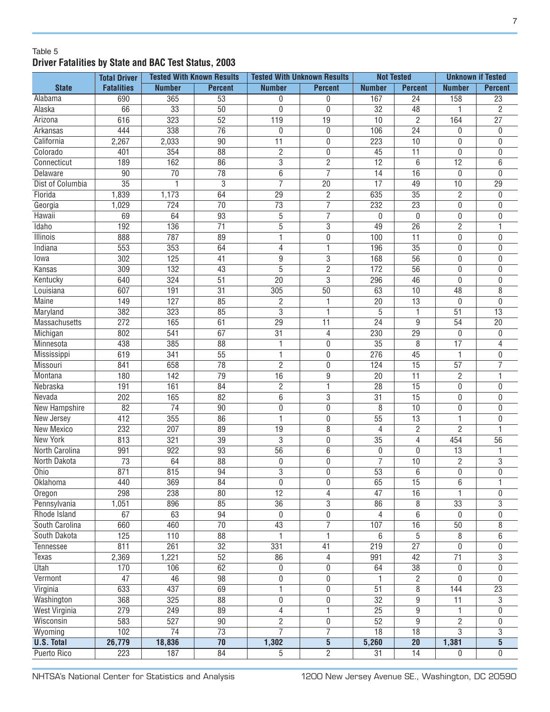#### Table 5 **Driver Fatalities by State and BAC Test Status, 2003**

|                      | <b>Total Driver</b> |                  | <b>Tested With Known Results</b> |                 | <b>Tested With Unknown Results</b> |                  | <b>Not Tested</b> |                 | <b>Unknown if Tested</b> |  |
|----------------------|---------------------|------------------|----------------------------------|-----------------|------------------------------------|------------------|-------------------|-----------------|--------------------------|--|
| <b>State</b>         | <b>Fatalities</b>   | <b>Number</b>    | <b>Percent</b>                   | <b>Number</b>   | <b>Percent</b>                     | <b>Number</b>    | <b>Percent</b>    | <b>Number</b>   | <b>Percent</b>           |  |
| Alabama              | 690                 | 365              | $\overline{53}$                  | 0               | 0                                  | 167              | $\overline{24}$   | 158             | $\overline{23}$          |  |
| Alaska               | 66                  | $\overline{33}$  | $\overline{50}$                  | $\mathbf 0$     | 0                                  | $\overline{32}$  | $\overline{48}$   | 1               | $\overline{2}$           |  |
| Arizona              | 616                 | 323              | $\overline{52}$                  | 119             | $\overline{19}$                    | 10               | $\overline{2}$    | 164             | $\overline{27}$          |  |
| Arkansas             | 444                 | 338              | $\overline{76}$                  | $\mathbf 0$     | 0                                  | 106              | $\overline{24}$   | 0               | 0                        |  |
| California           | 2,267               | 2,033            | $\overline{90}$                  | $\overline{11}$ | 0                                  | 223              | 10                | 0               | 0                        |  |
| Colorado             | 401                 | 354              | 88                               | $\overline{2}$  | 0                                  | 45               | 11                | 0               | 0                        |  |
| Connecticut          | 189                 | 162              | 86                               | 3               | $\overline{2}$                     | $\overline{12}$  | 6                 | $\overline{12}$ | $\overline{6}$           |  |
| <b>Delaware</b>      | 90                  | $\overline{70}$  | 78                               | $\overline{6}$  | 7                                  | $\overline{14}$  | $\overline{16}$   | $\mathbf{0}$    | $\overline{0}$           |  |
| Dist of Columbia     | $\overline{35}$     | 1                | 3                                | $\overline{7}$  | 20                                 | $\overline{17}$  | 49                | 10              | $\overline{29}$          |  |
| Florida              | 1,839               | 1,173            | 64                               | $\overline{29}$ | $\overline{2}$                     | 635              | $\overline{35}$   | $\overline{2}$  | 0                        |  |
| Georgia              | 1,029               | 724              | $\overline{70}$                  | $\overline{73}$ | $\overline{7}$                     | 232              | $\overline{23}$   | 0               | 0                        |  |
| Hawaii               | 69                  | 64               | 93                               | $\sqrt{5}$      | $\overline{7}$                     | $\mathbf{0}$     | $\mathbf{0}$      | 0               | 0                        |  |
| Idaho                | 192                 | 136              | $\overline{71}$                  | 5               | $\overline{3}$                     | 49               | $\overline{26}$   | $\overline{2}$  | 1                        |  |
| <b>Illinois</b>      | 888                 | 787              | 89                               | 1               | 0                                  | 100              | 11                | 0               | 0                        |  |
| Indiana              | 553                 | 353              | 64                               | 4               | 1                                  | 196              | $\overline{35}$   | 0               | 0                        |  |
| lowa                 | 302                 | 125              | 41                               | $\overline{9}$  | $\overline{3}$                     | 168              | $\overline{56}$   | 0               | 0                        |  |
| Kansas               | 309                 | 132              | 43                               | 5               | $\overline{2}$                     | 172              | 56                | 0               | 0                        |  |
| Kentucky             | 640                 | 324              | $\overline{51}$                  | $\overline{20}$ | $\overline{3}$                     | 296              | 46                | $\mathbf{0}$    | 0                        |  |
| Louisiana            | 607                 | 191              | $\overline{31}$                  | 305             | 50                                 | 63               | 10                | 48              | 8                        |  |
| <b>Maine</b>         | 149                 | 127              | 85                               | 2               | 1                                  | 20               | 13                | $\mathbf{0}$    | 0                        |  |
| Maryland             | 382                 | 323              | 85                               | $\overline{3}$  | 1                                  | 5                | 1                 | $\overline{51}$ | $\overline{13}$          |  |
| <b>Massachusetts</b> | 272                 | 165              | 61                               | 29              | $\overline{11}$                    | $\overline{24}$  | 9                 | 54              | $\overline{20}$          |  |
| Michigan             | 802                 | 541              | 67                               | $\overline{31}$ | 4                                  | 230              | $\overline{29}$   | 0               | 0                        |  |
| Minnesota            | 438                 | 385              | $\overline{88}$                  | 1               | 0                                  | $\overline{35}$  | 8                 | $\overline{17}$ | 4                        |  |
| Mississippi          | 619                 | 341              | 55                               | 1               | 0                                  | 276              | 45                | 1               | 0                        |  |
| Missouri             | 841                 | 658              | 78                               | $\overline{2}$  | 0                                  | 124              | $\overline{15}$   | $\overline{57}$ | 7                        |  |
| Montana              | 180                 | 142              | 79                               | 16              | $\overline{9}$                     | 20               | $\overline{11}$   | $\overline{2}$  | 1                        |  |
| Nebraska             | 191                 | 161              | 84                               | $\overline{2}$  | 1                                  | 28               | 15                | $\mathbf 0$     | 0                        |  |
| Nevada               | 202                 | 165              | $\overline{82}$                  | $\overline{6}$  | $\overline{3}$                     | $\overline{31}$  | $\overline{15}$   | $\mathbf 0$     | 0                        |  |
| <b>New Hampshire</b> | $\overline{82}$     | $\overline{74}$  | 90                               | $\pmb{0}$       | 0                                  | 8                | 10                | 0               | 0                        |  |
| New Jersey           | 412                 | 355              | 86                               | 1               | 0                                  | 55               | 13                | 1               | 0                        |  |
| <b>New Mexico</b>    | 232                 | 207              | 89                               | 19              | 8                                  | $\overline{4}$   | $\overline{c}$    | $\overline{2}$  | 1                        |  |
| <b>New York</b>      | 813                 | 321              | 39                               | $\overline{3}$  | 0                                  | 35               | 4                 | 454             | $\overline{56}$          |  |
| North Carolina       | 991                 | 922              | 93                               | $\overline{56}$ | $\overline{6}$                     | 0                | $\mathbf 0$       | 13              | 1                        |  |
| North Dakota         | $\overline{73}$     | 64               | $\overline{88}$                  | $\pmb{0}$       | 0                                  | $\overline{7}$   | 10                | $\overline{2}$  | $\overline{3}$           |  |
| Ohio                 | 871                 | 815              | $\overline{94}$                  | $\overline{3}$  | 0                                  | 53               | 6                 | $\mathbf{0}$    | 0                        |  |
| Oklahoma             | 440                 | 369              | 84                               | 0               | 0                                  | 65               | 15                | 6               | 1                        |  |
| Oregon               | 298                 | 238              | 80                               | $\overline{12}$ | 4                                  | 47               | $\overline{16}$   | 1               | 0                        |  |
| Pennsylvania         | 1,051               | 896              | 85                               | $\overline{36}$ | 3                                  | 86               | 8                 | 33              | $\overline{3}$           |  |
| Rhode Island         | 67                  | 63               | 94                               | 0               | $\overline{0}$                     | $\overline{4}$   | $\overline{6}$    | $\overline{0}$  | 0                        |  |
| South Carolina       | 660                 | 460              | $\overline{70}$                  | 43              | $\overline{7}$                     | 107              | 16                | 50              | 8                        |  |
| South Dakota         | 125                 | $\overline{110}$ | $\overline{88}$                  | 1               | 1                                  | 6                | $\overline{5}$    | 8               | 6                        |  |
| Tennessee            | 811                 | $\overline{261}$ | $\overline{32}$                  | 331             | 41                                 | $\overline{219}$ | $\overline{27}$   | $\overline{0}$  | 0                        |  |
| <b>Texas</b>         | 2,369               | 1,221            | $\overline{52}$                  | 86              | 4                                  | 991              | 42                | $\overline{71}$ | $\overline{3}$           |  |
| Utah                 | 170                 | 106              | 62                               | $\pmb{0}$       | 0                                  | 64               | $\overline{38}$   | $\pmb{0}$       | $\overline{0}$           |  |
| Vermont              | $\overline{47}$     | 46               | 98                               | $\pmb{0}$       | 0                                  | 1                | $\overline{c}$    | 0               | 0                        |  |
| Virginia             | 633                 | 437              | 69                               | 1               | 0                                  | $\overline{51}$  | 8                 | 144             | 23                       |  |
| Washington           | 368                 | 325              | $\overline{88}$                  | 0               | 0                                  | $\overline{32}$  | $\overline{9}$    | $\overline{11}$ | 3                        |  |
| <b>West Virginia</b> | 279                 | 249              | 89                               | $\overline{4}$  | $\overline{\mathbf{1}}$            | $\overline{25}$  | $\overline{9}$    | 1               | 0                        |  |
| Wisconsin            | 583                 | $\overline{527}$ | 90                               | $\overline{2}$  | 0                                  | 52               | 9                 | $\overline{2}$  | 0                        |  |
| Wyoming              | 102                 | $\overline{74}$  | $\overline{73}$                  | $\overline{7}$  | $\overline{7}$                     | $\overline{18}$  | $\overline{18}$   | $\overline{3}$  | $\overline{3}$           |  |
| <b>U.S. Total</b>    | 26,779              | 18,836           | $\overline{70}$                  | 1,302           | $\overline{\mathbf{5}}$            | 5,260            | $\overline{20}$   | 1,381           | $\overline{\mathbf{5}}$  |  |
| <b>Puerto Rico</b>   | 223                 | 187              | 84                               | 5               | $\overline{2}$                     | $\overline{31}$  | $\overline{14}$   | $\mathbf{0}$    | $\overline{0}$           |  |
|                      |                     |                  |                                  |                 |                                    |                  |                   |                 |                          |  |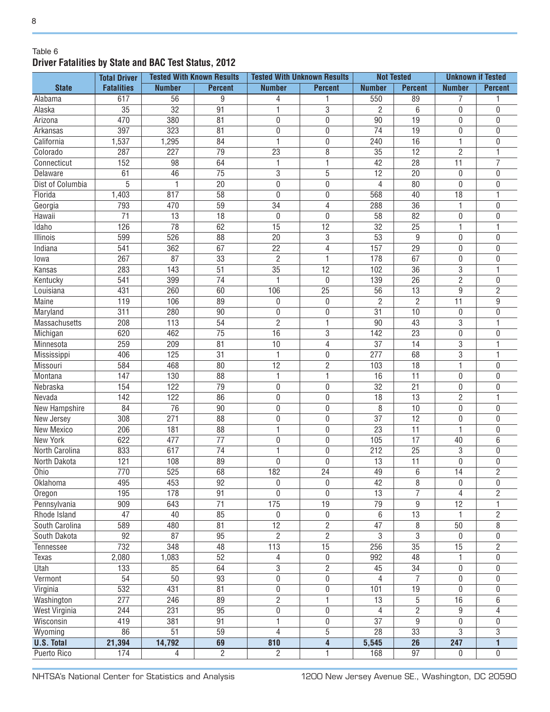#### Table 6 **Driver Fatalities by State and BAC Test Status, 2012**

| <b>State</b><br><b>Fatalities</b><br><b>Number</b><br><b>Percent</b><br><b>Number</b><br><b>Percent</b><br><b>Percent</b><br><b>Number</b><br><b>Percent</b><br><b>Number</b><br>9<br>7<br>617<br>56<br>550<br>89<br>Alabama<br>4<br>$\overline{35}$<br>$\overline{32}$<br>$\overline{91}$<br>3<br>Alaska<br>2<br>6<br>$\mathbf 0$<br>0<br>470<br>380<br>$\overline{90}$<br>$\overline{19}$<br>81<br>0<br>$\bf{0}$<br>0<br>Arizona<br>0<br>397<br>$\overline{323}$<br>$\overline{74}$<br>$\overline{19}$<br>81<br>0<br>$\bf{0}$<br>$\boldsymbol{0}$<br>Arkansas<br>0<br>1,295<br>$\overline{16}$<br>$\mathbf{1}$<br>California<br>1,537<br>84<br>1<br>$\bf{0}$<br>240<br>0<br>$\overline{23}$<br>$\bf 8$<br>$\overline{12}$<br>$\overline{2}$<br>287<br>227<br>79<br>35<br>Colorado<br>1<br>42<br>$\overline{11}$<br>$\overline{7}$<br>152<br>98<br>64<br>1<br>1<br>28<br>Connecticut<br>$\overline{75}$<br>3<br>5<br>61<br>46<br>12<br>20<br>0<br>0<br>Delaware<br>5<br>Dist of Columbia<br>1<br>20<br>0<br>$\mathbf 0$<br>4<br>80<br>$\mathbf 0$<br>$\mathbf{0}$<br>817<br>$\overline{58}$<br>$\overline{18}$<br>Florida<br>1,403<br>0<br>$\mathbf 0$<br>568<br>40<br>1<br>$\overline{36}$<br>793<br>470<br>59<br>34<br>4<br>288<br>1<br>$\mathbf{0}$<br>Georgia<br>$\overline{71}$<br>13<br>18<br>0<br>$\mathbf 0$<br>58<br>82<br>$\boldsymbol{0}$<br>0<br>Hawaii<br>126<br>$\overline{78}$<br>$\overline{15}$<br>$\overline{12}$<br>62<br>32<br>25<br>1<br>1<br>Idaho<br>526<br><b>Illinois</b><br>599<br>88<br>20<br>3<br>53<br>9<br>$\boldsymbol{0}$<br>0<br>541<br>67<br>$\overline{22}$<br>$\overline{4}$<br>$\overline{29}$<br>362<br>157<br>0<br>$\mathbf{0}$<br>Indiana<br>$\overline{2}$<br>$\mathbf{1}$<br>267<br>87<br>33<br>178<br>67<br>0<br>$\mathbf{0}$<br>lowa<br>$\overline{35}$<br>$\overline{3}$<br>283<br>143<br>51<br>12<br>36<br>1<br>Kansas<br>102<br>$\overline{2}$<br>Kentucky<br>541<br>399<br>74<br>$\mathbf 0$<br>26<br>0<br>139<br>$\overline{2}$<br>431<br>260<br>106<br>$\overline{25}$<br>13<br>9<br>Louisiana<br>60<br>56<br>$\overline{2}$<br>Maine<br>119<br>106<br>89<br>0<br>2<br>11<br>9<br>0<br>311<br>280<br>90<br>0<br>$\mathbf 0$<br>31<br>10<br>$\pmb{0}$<br>Maryland<br>0<br>$\overline{2}$<br>$\overline{3}$<br>208<br>54<br>90<br>43<br>Massachusetts<br>113<br>1<br>1<br>3<br>Michigan<br>620<br>462<br>75<br>16<br>142<br>23<br>$\pmb{0}$<br>0<br>Minnesota<br>259<br>209<br>81<br>37<br>14<br>3<br>10<br>4<br>1<br>$\overline{3}$<br>406<br>125<br>68<br>Mississippi<br>31<br>1<br>0<br>277<br>1<br>$\overline{2}$<br>$\overline{12}$<br>$\mathbf{1}$<br>Missouri<br>584<br>468<br>18<br>80<br>103<br>0<br>Montana<br>147<br>130<br>16<br>11<br>$\pmb{0}$<br>88<br>1<br>1<br>0<br>Nebraska<br>154<br>122<br>$\boldsymbol{0}$<br>32<br>21<br>79<br>0<br>0<br>0<br>142<br>$\overline{2}$<br>Nevada<br>122<br>13<br>86<br>0<br>0<br>18<br>1<br>84<br>76<br>8<br>$\boldsymbol{0}$<br>New Hampshire<br>90<br>0<br>0<br>10<br>0<br>271<br>$\overline{37}$<br>$\overline{12}$<br>308<br>88<br>0<br>$\mathbf 0$<br>$\boldsymbol{0}$<br>0<br>New Jersey<br>206<br>181<br>88<br>1<br>$\mathbf 0$<br>23<br>11<br>1<br>New Mexico<br>0<br>$\overline{17}$<br><b>New York</b><br>622<br>477<br>77<br>$\boldsymbol{0}$<br>$\mathbf 0$<br>105<br>40<br>6<br>North Carolina<br>833<br>617<br>74<br>$\mathbf 0$<br>212<br>25<br>3<br>1<br>0<br>121<br>108<br>89<br>$\mathbf 0$<br>13<br>11<br>$\boldsymbol{0}$<br>North Dakota<br>0<br>0<br>770<br>$\overline{525}$<br>68<br>182<br>$\overline{24}$<br>$\overline{14}$<br>$\overline{2}$<br>49<br>6<br>Ohio<br>$\overline{92}$<br>453<br>0<br>0<br>42<br>8<br>$\pmb{0}$<br>Oklahoma<br>495<br>$\mathbf 0$<br>$\overline{7}$<br>178<br>91<br>$\overline{0}$<br>$\overline{13}$<br>$\overline{4}$<br>195<br>0<br>$\overline{c}$<br>Oregon<br>$\overline{71}$<br>175<br>19<br>$\overline{79}$<br>$\boldsymbol{9}$<br>$\overline{12}$<br>Pennsylvania<br>909<br>643<br>1<br>13<br>Rhode Island<br>47<br>40<br>85<br>$\pmb{0}$<br>1<br>$\overline{c}$<br>$\pmb{0}$<br>6<br>$\overline{2}$<br>$\overline{8}$<br>$\overline{50}$<br>589<br>480<br>81<br>12<br>47<br>8<br>South Carolina<br>$\overline{2}$<br>$\overline{3}$<br>$\overline{87}$<br>$\overline{2}$<br>$\mathbf{3}$<br>92<br>95<br>$\boldsymbol{0}$<br>South Dakota<br>0<br>$\overline{15}$<br>$\overline{35}$<br>732<br>113<br>15<br>348<br>48<br>256<br>$\overline{2}$<br>Tennessee<br>52<br>48<br>2,080<br>1,083<br>$\boldsymbol{0}$<br>992<br>1<br>Texas<br>4<br>0<br>$\overline{2}$<br>$\overline{133}$<br>64<br>3<br>$\overline{34}$<br>Utah<br>85<br>45<br>$\pmb{0}$<br>0<br>$\overline{7}$<br>Vermont<br>54<br>50<br>93<br>0<br>$\boldsymbol{0}$<br>$\boldsymbol{0}$<br>4<br>0<br>532<br>431<br>81<br>$\overline{0}$<br>$\overline{0}$<br>$\overline{19}$<br>$\overline{0}$<br>Virginia<br>101<br>0<br>$\overline{2}$<br>277<br>246<br>$\mathbf{1}$<br>5<br>16<br>Washington<br>89<br>13<br>6<br>$\overline{95}$<br>$\overline{0}$<br>$\overline{2}$<br>$\overline{9}$<br><b>West Virginia</b><br>244<br>231<br>0<br>4<br>4<br>419<br>91<br>$\overline{37}$<br>9<br>$\overline{0}$<br>Wisconsin<br>381<br>1<br>$\pmb{0}$<br>0<br>$\overline{51}$<br>5<br>33<br>3<br>86<br>59<br>4<br>28<br>3<br>Wyoming<br>14,792<br>$\overline{247}$<br>21,394<br>69<br>810<br>$\overline{26}$<br><b>U.S. Total</b><br>4<br>5,545<br>$\mathbf{1}$ | <b>Total Driver</b> | <b>Tested With Known Results</b> | <b>Tested With Unknown Results</b> |  | <b>Not Tested</b> |  | <b>Unknown if Tested</b> |  |
|-------------------------------------------------------------------------------------------------------------------------------------------------------------------------------------------------------------------------------------------------------------------------------------------------------------------------------------------------------------------------------------------------------------------------------------------------------------------------------------------------------------------------------------------------------------------------------------------------------------------------------------------------------------------------------------------------------------------------------------------------------------------------------------------------------------------------------------------------------------------------------------------------------------------------------------------------------------------------------------------------------------------------------------------------------------------------------------------------------------------------------------------------------------------------------------------------------------------------------------------------------------------------------------------------------------------------------------------------------------------------------------------------------------------------------------------------------------------------------------------------------------------------------------------------------------------------------------------------------------------------------------------------------------------------------------------------------------------------------------------------------------------------------------------------------------------------------------------------------------------------------------------------------------------------------------------------------------------------------------------------------------------------------------------------------------------------------------------------------------------------------------------------------------------------------------------------------------------------------------------------------------------------------------------------------------------------------------------------------------------------------------------------------------------------------------------------------------------------------------------------------------------------------------------------------------------------------------------------------------------------------------------------------------------------------------------------------------------------------------------------------------------------------------------------------------------------------------------------------------------------------------------------------------------------------------------------------------------------------------------------------------------------------------------------------------------------------------------------------------------------------------------------------------------------------------------------------------------------------------------------------------------------------------------------------------------------------------------------------------------------------------------------------------------------------------------------------------------------------------------------------------------------------------------------------------------------------------------------------------------------------------------------------------------------------------------------------------------------------------------------------------------------------------------------------------------------------------------------------------------------------------------------------------------------------------------------------------------------------------------------------------------------------------------------------------------------------------------------------------------------------------------------------------------------------------------------------------------------------------------------------------------------------------------------------------------------------------------------------------------------------------------------------------------------------------------------------------------------------------------------------------------------------------------------------------------------------------------------------------------------------------------------------------------------------------------------------------------------------------------------------------------------------------------------------------------------------------------------------------------------------------------------------------------------------------------------------------------------------------------------------------------------------------------------------------------------------------------------------------------------------------------------------------------------------------------------------------------------------------------------------------------------------------------------------------------------------------------------------------------------------------|---------------------|----------------------------------|------------------------------------|--|-------------------|--|--------------------------|--|
|                                                                                                                                                                                                                                                                                                                                                                                                                                                                                                                                                                                                                                                                                                                                                                                                                                                                                                                                                                                                                                                                                                                                                                                                                                                                                                                                                                                                                                                                                                                                                                                                                                                                                                                                                                                                                                                                                                                                                                                                                                                                                                                                                                                                                                                                                                                                                                                                                                                                                                                                                                                                                                                                                                                                                                                                                                                                                                                                                                                                                                                                                                                                                                                                                                                                                                                                                                                                                                                                                                                                                                                                                                                                                                                                                                                                                                                                                                                                                                                                                                                                                                                                                                                                                                                                                                                                                                                                                                                                                                                                                                                                                                                                                                                                                                                                                                                                                                                                                                                                                                                                                                                                                                                                                                                                                                                                                                                     |                     |                                  |                                    |  |                   |  |                          |  |
|                                                                                                                                                                                                                                                                                                                                                                                                                                                                                                                                                                                                                                                                                                                                                                                                                                                                                                                                                                                                                                                                                                                                                                                                                                                                                                                                                                                                                                                                                                                                                                                                                                                                                                                                                                                                                                                                                                                                                                                                                                                                                                                                                                                                                                                                                                                                                                                                                                                                                                                                                                                                                                                                                                                                                                                                                                                                                                                                                                                                                                                                                                                                                                                                                                                                                                                                                                                                                                                                                                                                                                                                                                                                                                                                                                                                                                                                                                                                                                                                                                                                                                                                                                                                                                                                                                                                                                                                                                                                                                                                                                                                                                                                                                                                                                                                                                                                                                                                                                                                                                                                                                                                                                                                                                                                                                                                                                                     |                     |                                  |                                    |  |                   |  |                          |  |
|                                                                                                                                                                                                                                                                                                                                                                                                                                                                                                                                                                                                                                                                                                                                                                                                                                                                                                                                                                                                                                                                                                                                                                                                                                                                                                                                                                                                                                                                                                                                                                                                                                                                                                                                                                                                                                                                                                                                                                                                                                                                                                                                                                                                                                                                                                                                                                                                                                                                                                                                                                                                                                                                                                                                                                                                                                                                                                                                                                                                                                                                                                                                                                                                                                                                                                                                                                                                                                                                                                                                                                                                                                                                                                                                                                                                                                                                                                                                                                                                                                                                                                                                                                                                                                                                                                                                                                                                                                                                                                                                                                                                                                                                                                                                                                                                                                                                                                                                                                                                                                                                                                                                                                                                                                                                                                                                                                                     |                     |                                  |                                    |  |                   |  |                          |  |
|                                                                                                                                                                                                                                                                                                                                                                                                                                                                                                                                                                                                                                                                                                                                                                                                                                                                                                                                                                                                                                                                                                                                                                                                                                                                                                                                                                                                                                                                                                                                                                                                                                                                                                                                                                                                                                                                                                                                                                                                                                                                                                                                                                                                                                                                                                                                                                                                                                                                                                                                                                                                                                                                                                                                                                                                                                                                                                                                                                                                                                                                                                                                                                                                                                                                                                                                                                                                                                                                                                                                                                                                                                                                                                                                                                                                                                                                                                                                                                                                                                                                                                                                                                                                                                                                                                                                                                                                                                                                                                                                                                                                                                                                                                                                                                                                                                                                                                                                                                                                                                                                                                                                                                                                                                                                                                                                                                                     |                     |                                  |                                    |  |                   |  |                          |  |
|                                                                                                                                                                                                                                                                                                                                                                                                                                                                                                                                                                                                                                                                                                                                                                                                                                                                                                                                                                                                                                                                                                                                                                                                                                                                                                                                                                                                                                                                                                                                                                                                                                                                                                                                                                                                                                                                                                                                                                                                                                                                                                                                                                                                                                                                                                                                                                                                                                                                                                                                                                                                                                                                                                                                                                                                                                                                                                                                                                                                                                                                                                                                                                                                                                                                                                                                                                                                                                                                                                                                                                                                                                                                                                                                                                                                                                                                                                                                                                                                                                                                                                                                                                                                                                                                                                                                                                                                                                                                                                                                                                                                                                                                                                                                                                                                                                                                                                                                                                                                                                                                                                                                                                                                                                                                                                                                                                                     |                     |                                  |                                    |  |                   |  |                          |  |
|                                                                                                                                                                                                                                                                                                                                                                                                                                                                                                                                                                                                                                                                                                                                                                                                                                                                                                                                                                                                                                                                                                                                                                                                                                                                                                                                                                                                                                                                                                                                                                                                                                                                                                                                                                                                                                                                                                                                                                                                                                                                                                                                                                                                                                                                                                                                                                                                                                                                                                                                                                                                                                                                                                                                                                                                                                                                                                                                                                                                                                                                                                                                                                                                                                                                                                                                                                                                                                                                                                                                                                                                                                                                                                                                                                                                                                                                                                                                                                                                                                                                                                                                                                                                                                                                                                                                                                                                                                                                                                                                                                                                                                                                                                                                                                                                                                                                                                                                                                                                                                                                                                                                                                                                                                                                                                                                                                                     |                     |                                  |                                    |  |                   |  |                          |  |
|                                                                                                                                                                                                                                                                                                                                                                                                                                                                                                                                                                                                                                                                                                                                                                                                                                                                                                                                                                                                                                                                                                                                                                                                                                                                                                                                                                                                                                                                                                                                                                                                                                                                                                                                                                                                                                                                                                                                                                                                                                                                                                                                                                                                                                                                                                                                                                                                                                                                                                                                                                                                                                                                                                                                                                                                                                                                                                                                                                                                                                                                                                                                                                                                                                                                                                                                                                                                                                                                                                                                                                                                                                                                                                                                                                                                                                                                                                                                                                                                                                                                                                                                                                                                                                                                                                                                                                                                                                                                                                                                                                                                                                                                                                                                                                                                                                                                                                                                                                                                                                                                                                                                                                                                                                                                                                                                                                                     |                     |                                  |                                    |  |                   |  |                          |  |
|                                                                                                                                                                                                                                                                                                                                                                                                                                                                                                                                                                                                                                                                                                                                                                                                                                                                                                                                                                                                                                                                                                                                                                                                                                                                                                                                                                                                                                                                                                                                                                                                                                                                                                                                                                                                                                                                                                                                                                                                                                                                                                                                                                                                                                                                                                                                                                                                                                                                                                                                                                                                                                                                                                                                                                                                                                                                                                                                                                                                                                                                                                                                                                                                                                                                                                                                                                                                                                                                                                                                                                                                                                                                                                                                                                                                                                                                                                                                                                                                                                                                                                                                                                                                                                                                                                                                                                                                                                                                                                                                                                                                                                                                                                                                                                                                                                                                                                                                                                                                                                                                                                                                                                                                                                                                                                                                                                                     |                     |                                  |                                    |  |                   |  |                          |  |
|                                                                                                                                                                                                                                                                                                                                                                                                                                                                                                                                                                                                                                                                                                                                                                                                                                                                                                                                                                                                                                                                                                                                                                                                                                                                                                                                                                                                                                                                                                                                                                                                                                                                                                                                                                                                                                                                                                                                                                                                                                                                                                                                                                                                                                                                                                                                                                                                                                                                                                                                                                                                                                                                                                                                                                                                                                                                                                                                                                                                                                                                                                                                                                                                                                                                                                                                                                                                                                                                                                                                                                                                                                                                                                                                                                                                                                                                                                                                                                                                                                                                                                                                                                                                                                                                                                                                                                                                                                                                                                                                                                                                                                                                                                                                                                                                                                                                                                                                                                                                                                                                                                                                                                                                                                                                                                                                                                                     |                     |                                  |                                    |  |                   |  |                          |  |
|                                                                                                                                                                                                                                                                                                                                                                                                                                                                                                                                                                                                                                                                                                                                                                                                                                                                                                                                                                                                                                                                                                                                                                                                                                                                                                                                                                                                                                                                                                                                                                                                                                                                                                                                                                                                                                                                                                                                                                                                                                                                                                                                                                                                                                                                                                                                                                                                                                                                                                                                                                                                                                                                                                                                                                                                                                                                                                                                                                                                                                                                                                                                                                                                                                                                                                                                                                                                                                                                                                                                                                                                                                                                                                                                                                                                                                                                                                                                                                                                                                                                                                                                                                                                                                                                                                                                                                                                                                                                                                                                                                                                                                                                                                                                                                                                                                                                                                                                                                                                                                                                                                                                                                                                                                                                                                                                                                                     |                     |                                  |                                    |  |                   |  |                          |  |
|                                                                                                                                                                                                                                                                                                                                                                                                                                                                                                                                                                                                                                                                                                                                                                                                                                                                                                                                                                                                                                                                                                                                                                                                                                                                                                                                                                                                                                                                                                                                                                                                                                                                                                                                                                                                                                                                                                                                                                                                                                                                                                                                                                                                                                                                                                                                                                                                                                                                                                                                                                                                                                                                                                                                                                                                                                                                                                                                                                                                                                                                                                                                                                                                                                                                                                                                                                                                                                                                                                                                                                                                                                                                                                                                                                                                                                                                                                                                                                                                                                                                                                                                                                                                                                                                                                                                                                                                                                                                                                                                                                                                                                                                                                                                                                                                                                                                                                                                                                                                                                                                                                                                                                                                                                                                                                                                                                                     |                     |                                  |                                    |  |                   |  |                          |  |
|                                                                                                                                                                                                                                                                                                                                                                                                                                                                                                                                                                                                                                                                                                                                                                                                                                                                                                                                                                                                                                                                                                                                                                                                                                                                                                                                                                                                                                                                                                                                                                                                                                                                                                                                                                                                                                                                                                                                                                                                                                                                                                                                                                                                                                                                                                                                                                                                                                                                                                                                                                                                                                                                                                                                                                                                                                                                                                                                                                                                                                                                                                                                                                                                                                                                                                                                                                                                                                                                                                                                                                                                                                                                                                                                                                                                                                                                                                                                                                                                                                                                                                                                                                                                                                                                                                                                                                                                                                                                                                                                                                                                                                                                                                                                                                                                                                                                                                                                                                                                                                                                                                                                                                                                                                                                                                                                                                                     |                     |                                  |                                    |  |                   |  |                          |  |
|                                                                                                                                                                                                                                                                                                                                                                                                                                                                                                                                                                                                                                                                                                                                                                                                                                                                                                                                                                                                                                                                                                                                                                                                                                                                                                                                                                                                                                                                                                                                                                                                                                                                                                                                                                                                                                                                                                                                                                                                                                                                                                                                                                                                                                                                                                                                                                                                                                                                                                                                                                                                                                                                                                                                                                                                                                                                                                                                                                                                                                                                                                                                                                                                                                                                                                                                                                                                                                                                                                                                                                                                                                                                                                                                                                                                                                                                                                                                                                                                                                                                                                                                                                                                                                                                                                                                                                                                                                                                                                                                                                                                                                                                                                                                                                                                                                                                                                                                                                                                                                                                                                                                                                                                                                                                                                                                                                                     |                     |                                  |                                    |  |                   |  |                          |  |
|                                                                                                                                                                                                                                                                                                                                                                                                                                                                                                                                                                                                                                                                                                                                                                                                                                                                                                                                                                                                                                                                                                                                                                                                                                                                                                                                                                                                                                                                                                                                                                                                                                                                                                                                                                                                                                                                                                                                                                                                                                                                                                                                                                                                                                                                                                                                                                                                                                                                                                                                                                                                                                                                                                                                                                                                                                                                                                                                                                                                                                                                                                                                                                                                                                                                                                                                                                                                                                                                                                                                                                                                                                                                                                                                                                                                                                                                                                                                                                                                                                                                                                                                                                                                                                                                                                                                                                                                                                                                                                                                                                                                                                                                                                                                                                                                                                                                                                                                                                                                                                                                                                                                                                                                                                                                                                                                                                                     |                     |                                  |                                    |  |                   |  |                          |  |
|                                                                                                                                                                                                                                                                                                                                                                                                                                                                                                                                                                                                                                                                                                                                                                                                                                                                                                                                                                                                                                                                                                                                                                                                                                                                                                                                                                                                                                                                                                                                                                                                                                                                                                                                                                                                                                                                                                                                                                                                                                                                                                                                                                                                                                                                                                                                                                                                                                                                                                                                                                                                                                                                                                                                                                                                                                                                                                                                                                                                                                                                                                                                                                                                                                                                                                                                                                                                                                                                                                                                                                                                                                                                                                                                                                                                                                                                                                                                                                                                                                                                                                                                                                                                                                                                                                                                                                                                                                                                                                                                                                                                                                                                                                                                                                                                                                                                                                                                                                                                                                                                                                                                                                                                                                                                                                                                                                                     |                     |                                  |                                    |  |                   |  |                          |  |
|                                                                                                                                                                                                                                                                                                                                                                                                                                                                                                                                                                                                                                                                                                                                                                                                                                                                                                                                                                                                                                                                                                                                                                                                                                                                                                                                                                                                                                                                                                                                                                                                                                                                                                                                                                                                                                                                                                                                                                                                                                                                                                                                                                                                                                                                                                                                                                                                                                                                                                                                                                                                                                                                                                                                                                                                                                                                                                                                                                                                                                                                                                                                                                                                                                                                                                                                                                                                                                                                                                                                                                                                                                                                                                                                                                                                                                                                                                                                                                                                                                                                                                                                                                                                                                                                                                                                                                                                                                                                                                                                                                                                                                                                                                                                                                                                                                                                                                                                                                                                                                                                                                                                                                                                                                                                                                                                                                                     |                     |                                  |                                    |  |                   |  |                          |  |
|                                                                                                                                                                                                                                                                                                                                                                                                                                                                                                                                                                                                                                                                                                                                                                                                                                                                                                                                                                                                                                                                                                                                                                                                                                                                                                                                                                                                                                                                                                                                                                                                                                                                                                                                                                                                                                                                                                                                                                                                                                                                                                                                                                                                                                                                                                                                                                                                                                                                                                                                                                                                                                                                                                                                                                                                                                                                                                                                                                                                                                                                                                                                                                                                                                                                                                                                                                                                                                                                                                                                                                                                                                                                                                                                                                                                                                                                                                                                                                                                                                                                                                                                                                                                                                                                                                                                                                                                                                                                                                                                                                                                                                                                                                                                                                                                                                                                                                                                                                                                                                                                                                                                                                                                                                                                                                                                                                                     |                     |                                  |                                    |  |                   |  |                          |  |
|                                                                                                                                                                                                                                                                                                                                                                                                                                                                                                                                                                                                                                                                                                                                                                                                                                                                                                                                                                                                                                                                                                                                                                                                                                                                                                                                                                                                                                                                                                                                                                                                                                                                                                                                                                                                                                                                                                                                                                                                                                                                                                                                                                                                                                                                                                                                                                                                                                                                                                                                                                                                                                                                                                                                                                                                                                                                                                                                                                                                                                                                                                                                                                                                                                                                                                                                                                                                                                                                                                                                                                                                                                                                                                                                                                                                                                                                                                                                                                                                                                                                                                                                                                                                                                                                                                                                                                                                                                                                                                                                                                                                                                                                                                                                                                                                                                                                                                                                                                                                                                                                                                                                                                                                                                                                                                                                                                                     |                     |                                  |                                    |  |                   |  |                          |  |
|                                                                                                                                                                                                                                                                                                                                                                                                                                                                                                                                                                                                                                                                                                                                                                                                                                                                                                                                                                                                                                                                                                                                                                                                                                                                                                                                                                                                                                                                                                                                                                                                                                                                                                                                                                                                                                                                                                                                                                                                                                                                                                                                                                                                                                                                                                                                                                                                                                                                                                                                                                                                                                                                                                                                                                                                                                                                                                                                                                                                                                                                                                                                                                                                                                                                                                                                                                                                                                                                                                                                                                                                                                                                                                                                                                                                                                                                                                                                                                                                                                                                                                                                                                                                                                                                                                                                                                                                                                                                                                                                                                                                                                                                                                                                                                                                                                                                                                                                                                                                                                                                                                                                                                                                                                                                                                                                                                                     |                     |                                  |                                    |  |                   |  |                          |  |
|                                                                                                                                                                                                                                                                                                                                                                                                                                                                                                                                                                                                                                                                                                                                                                                                                                                                                                                                                                                                                                                                                                                                                                                                                                                                                                                                                                                                                                                                                                                                                                                                                                                                                                                                                                                                                                                                                                                                                                                                                                                                                                                                                                                                                                                                                                                                                                                                                                                                                                                                                                                                                                                                                                                                                                                                                                                                                                                                                                                                                                                                                                                                                                                                                                                                                                                                                                                                                                                                                                                                                                                                                                                                                                                                                                                                                                                                                                                                                                                                                                                                                                                                                                                                                                                                                                                                                                                                                                                                                                                                                                                                                                                                                                                                                                                                                                                                                                                                                                                                                                                                                                                                                                                                                                                                                                                                                                                     |                     |                                  |                                    |  |                   |  |                          |  |
|                                                                                                                                                                                                                                                                                                                                                                                                                                                                                                                                                                                                                                                                                                                                                                                                                                                                                                                                                                                                                                                                                                                                                                                                                                                                                                                                                                                                                                                                                                                                                                                                                                                                                                                                                                                                                                                                                                                                                                                                                                                                                                                                                                                                                                                                                                                                                                                                                                                                                                                                                                                                                                                                                                                                                                                                                                                                                                                                                                                                                                                                                                                                                                                                                                                                                                                                                                                                                                                                                                                                                                                                                                                                                                                                                                                                                                                                                                                                                                                                                                                                                                                                                                                                                                                                                                                                                                                                                                                                                                                                                                                                                                                                                                                                                                                                                                                                                                                                                                                                                                                                                                                                                                                                                                                                                                                                                                                     |                     |                                  |                                    |  |                   |  |                          |  |
|                                                                                                                                                                                                                                                                                                                                                                                                                                                                                                                                                                                                                                                                                                                                                                                                                                                                                                                                                                                                                                                                                                                                                                                                                                                                                                                                                                                                                                                                                                                                                                                                                                                                                                                                                                                                                                                                                                                                                                                                                                                                                                                                                                                                                                                                                                                                                                                                                                                                                                                                                                                                                                                                                                                                                                                                                                                                                                                                                                                                                                                                                                                                                                                                                                                                                                                                                                                                                                                                                                                                                                                                                                                                                                                                                                                                                                                                                                                                                                                                                                                                                                                                                                                                                                                                                                                                                                                                                                                                                                                                                                                                                                                                                                                                                                                                                                                                                                                                                                                                                                                                                                                                                                                                                                                                                                                                                                                     |                     |                                  |                                    |  |                   |  |                          |  |
|                                                                                                                                                                                                                                                                                                                                                                                                                                                                                                                                                                                                                                                                                                                                                                                                                                                                                                                                                                                                                                                                                                                                                                                                                                                                                                                                                                                                                                                                                                                                                                                                                                                                                                                                                                                                                                                                                                                                                                                                                                                                                                                                                                                                                                                                                                                                                                                                                                                                                                                                                                                                                                                                                                                                                                                                                                                                                                                                                                                                                                                                                                                                                                                                                                                                                                                                                                                                                                                                                                                                                                                                                                                                                                                                                                                                                                                                                                                                                                                                                                                                                                                                                                                                                                                                                                                                                                                                                                                                                                                                                                                                                                                                                                                                                                                                                                                                                                                                                                                                                                                                                                                                                                                                                                                                                                                                                                                     |                     |                                  |                                    |  |                   |  |                          |  |
|                                                                                                                                                                                                                                                                                                                                                                                                                                                                                                                                                                                                                                                                                                                                                                                                                                                                                                                                                                                                                                                                                                                                                                                                                                                                                                                                                                                                                                                                                                                                                                                                                                                                                                                                                                                                                                                                                                                                                                                                                                                                                                                                                                                                                                                                                                                                                                                                                                                                                                                                                                                                                                                                                                                                                                                                                                                                                                                                                                                                                                                                                                                                                                                                                                                                                                                                                                                                                                                                                                                                                                                                                                                                                                                                                                                                                                                                                                                                                                                                                                                                                                                                                                                                                                                                                                                                                                                                                                                                                                                                                                                                                                                                                                                                                                                                                                                                                                                                                                                                                                                                                                                                                                                                                                                                                                                                                                                     |                     |                                  |                                    |  |                   |  |                          |  |
|                                                                                                                                                                                                                                                                                                                                                                                                                                                                                                                                                                                                                                                                                                                                                                                                                                                                                                                                                                                                                                                                                                                                                                                                                                                                                                                                                                                                                                                                                                                                                                                                                                                                                                                                                                                                                                                                                                                                                                                                                                                                                                                                                                                                                                                                                                                                                                                                                                                                                                                                                                                                                                                                                                                                                                                                                                                                                                                                                                                                                                                                                                                                                                                                                                                                                                                                                                                                                                                                                                                                                                                                                                                                                                                                                                                                                                                                                                                                                                                                                                                                                                                                                                                                                                                                                                                                                                                                                                                                                                                                                                                                                                                                                                                                                                                                                                                                                                                                                                                                                                                                                                                                                                                                                                                                                                                                                                                     |                     |                                  |                                    |  |                   |  |                          |  |
|                                                                                                                                                                                                                                                                                                                                                                                                                                                                                                                                                                                                                                                                                                                                                                                                                                                                                                                                                                                                                                                                                                                                                                                                                                                                                                                                                                                                                                                                                                                                                                                                                                                                                                                                                                                                                                                                                                                                                                                                                                                                                                                                                                                                                                                                                                                                                                                                                                                                                                                                                                                                                                                                                                                                                                                                                                                                                                                                                                                                                                                                                                                                                                                                                                                                                                                                                                                                                                                                                                                                                                                                                                                                                                                                                                                                                                                                                                                                                                                                                                                                                                                                                                                                                                                                                                                                                                                                                                                                                                                                                                                                                                                                                                                                                                                                                                                                                                                                                                                                                                                                                                                                                                                                                                                                                                                                                                                     |                     |                                  |                                    |  |                   |  |                          |  |
|                                                                                                                                                                                                                                                                                                                                                                                                                                                                                                                                                                                                                                                                                                                                                                                                                                                                                                                                                                                                                                                                                                                                                                                                                                                                                                                                                                                                                                                                                                                                                                                                                                                                                                                                                                                                                                                                                                                                                                                                                                                                                                                                                                                                                                                                                                                                                                                                                                                                                                                                                                                                                                                                                                                                                                                                                                                                                                                                                                                                                                                                                                                                                                                                                                                                                                                                                                                                                                                                                                                                                                                                                                                                                                                                                                                                                                                                                                                                                                                                                                                                                                                                                                                                                                                                                                                                                                                                                                                                                                                                                                                                                                                                                                                                                                                                                                                                                                                                                                                                                                                                                                                                                                                                                                                                                                                                                                                     |                     |                                  |                                    |  |                   |  |                          |  |
|                                                                                                                                                                                                                                                                                                                                                                                                                                                                                                                                                                                                                                                                                                                                                                                                                                                                                                                                                                                                                                                                                                                                                                                                                                                                                                                                                                                                                                                                                                                                                                                                                                                                                                                                                                                                                                                                                                                                                                                                                                                                                                                                                                                                                                                                                                                                                                                                                                                                                                                                                                                                                                                                                                                                                                                                                                                                                                                                                                                                                                                                                                                                                                                                                                                                                                                                                                                                                                                                                                                                                                                                                                                                                                                                                                                                                                                                                                                                                                                                                                                                                                                                                                                                                                                                                                                                                                                                                                                                                                                                                                                                                                                                                                                                                                                                                                                                                                                                                                                                                                                                                                                                                                                                                                                                                                                                                                                     |                     |                                  |                                    |  |                   |  |                          |  |
|                                                                                                                                                                                                                                                                                                                                                                                                                                                                                                                                                                                                                                                                                                                                                                                                                                                                                                                                                                                                                                                                                                                                                                                                                                                                                                                                                                                                                                                                                                                                                                                                                                                                                                                                                                                                                                                                                                                                                                                                                                                                                                                                                                                                                                                                                                                                                                                                                                                                                                                                                                                                                                                                                                                                                                                                                                                                                                                                                                                                                                                                                                                                                                                                                                                                                                                                                                                                                                                                                                                                                                                                                                                                                                                                                                                                                                                                                                                                                                                                                                                                                                                                                                                                                                                                                                                                                                                                                                                                                                                                                                                                                                                                                                                                                                                                                                                                                                                                                                                                                                                                                                                                                                                                                                                                                                                                                                                     |                     |                                  |                                    |  |                   |  |                          |  |
|                                                                                                                                                                                                                                                                                                                                                                                                                                                                                                                                                                                                                                                                                                                                                                                                                                                                                                                                                                                                                                                                                                                                                                                                                                                                                                                                                                                                                                                                                                                                                                                                                                                                                                                                                                                                                                                                                                                                                                                                                                                                                                                                                                                                                                                                                                                                                                                                                                                                                                                                                                                                                                                                                                                                                                                                                                                                                                                                                                                                                                                                                                                                                                                                                                                                                                                                                                                                                                                                                                                                                                                                                                                                                                                                                                                                                                                                                                                                                                                                                                                                                                                                                                                                                                                                                                                                                                                                                                                                                                                                                                                                                                                                                                                                                                                                                                                                                                                                                                                                                                                                                                                                                                                                                                                                                                                                                                                     |                     |                                  |                                    |  |                   |  |                          |  |
|                                                                                                                                                                                                                                                                                                                                                                                                                                                                                                                                                                                                                                                                                                                                                                                                                                                                                                                                                                                                                                                                                                                                                                                                                                                                                                                                                                                                                                                                                                                                                                                                                                                                                                                                                                                                                                                                                                                                                                                                                                                                                                                                                                                                                                                                                                                                                                                                                                                                                                                                                                                                                                                                                                                                                                                                                                                                                                                                                                                                                                                                                                                                                                                                                                                                                                                                                                                                                                                                                                                                                                                                                                                                                                                                                                                                                                                                                                                                                                                                                                                                                                                                                                                                                                                                                                                                                                                                                                                                                                                                                                                                                                                                                                                                                                                                                                                                                                                                                                                                                                                                                                                                                                                                                                                                                                                                                                                     |                     |                                  |                                    |  |                   |  |                          |  |
|                                                                                                                                                                                                                                                                                                                                                                                                                                                                                                                                                                                                                                                                                                                                                                                                                                                                                                                                                                                                                                                                                                                                                                                                                                                                                                                                                                                                                                                                                                                                                                                                                                                                                                                                                                                                                                                                                                                                                                                                                                                                                                                                                                                                                                                                                                                                                                                                                                                                                                                                                                                                                                                                                                                                                                                                                                                                                                                                                                                                                                                                                                                                                                                                                                                                                                                                                                                                                                                                                                                                                                                                                                                                                                                                                                                                                                                                                                                                                                                                                                                                                                                                                                                                                                                                                                                                                                                                                                                                                                                                                                                                                                                                                                                                                                                                                                                                                                                                                                                                                                                                                                                                                                                                                                                                                                                                                                                     |                     |                                  |                                    |  |                   |  |                          |  |
|                                                                                                                                                                                                                                                                                                                                                                                                                                                                                                                                                                                                                                                                                                                                                                                                                                                                                                                                                                                                                                                                                                                                                                                                                                                                                                                                                                                                                                                                                                                                                                                                                                                                                                                                                                                                                                                                                                                                                                                                                                                                                                                                                                                                                                                                                                                                                                                                                                                                                                                                                                                                                                                                                                                                                                                                                                                                                                                                                                                                                                                                                                                                                                                                                                                                                                                                                                                                                                                                                                                                                                                                                                                                                                                                                                                                                                                                                                                                                                                                                                                                                                                                                                                                                                                                                                                                                                                                                                                                                                                                                                                                                                                                                                                                                                                                                                                                                                                                                                                                                                                                                                                                                                                                                                                                                                                                                                                     |                     |                                  |                                    |  |                   |  |                          |  |
|                                                                                                                                                                                                                                                                                                                                                                                                                                                                                                                                                                                                                                                                                                                                                                                                                                                                                                                                                                                                                                                                                                                                                                                                                                                                                                                                                                                                                                                                                                                                                                                                                                                                                                                                                                                                                                                                                                                                                                                                                                                                                                                                                                                                                                                                                                                                                                                                                                                                                                                                                                                                                                                                                                                                                                                                                                                                                                                                                                                                                                                                                                                                                                                                                                                                                                                                                                                                                                                                                                                                                                                                                                                                                                                                                                                                                                                                                                                                                                                                                                                                                                                                                                                                                                                                                                                                                                                                                                                                                                                                                                                                                                                                                                                                                                                                                                                                                                                                                                                                                                                                                                                                                                                                                                                                                                                                                                                     |                     |                                  |                                    |  |                   |  |                          |  |
|                                                                                                                                                                                                                                                                                                                                                                                                                                                                                                                                                                                                                                                                                                                                                                                                                                                                                                                                                                                                                                                                                                                                                                                                                                                                                                                                                                                                                                                                                                                                                                                                                                                                                                                                                                                                                                                                                                                                                                                                                                                                                                                                                                                                                                                                                                                                                                                                                                                                                                                                                                                                                                                                                                                                                                                                                                                                                                                                                                                                                                                                                                                                                                                                                                                                                                                                                                                                                                                                                                                                                                                                                                                                                                                                                                                                                                                                                                                                                                                                                                                                                                                                                                                                                                                                                                                                                                                                                                                                                                                                                                                                                                                                                                                                                                                                                                                                                                                                                                                                                                                                                                                                                                                                                                                                                                                                                                                     |                     |                                  |                                    |  |                   |  |                          |  |
|                                                                                                                                                                                                                                                                                                                                                                                                                                                                                                                                                                                                                                                                                                                                                                                                                                                                                                                                                                                                                                                                                                                                                                                                                                                                                                                                                                                                                                                                                                                                                                                                                                                                                                                                                                                                                                                                                                                                                                                                                                                                                                                                                                                                                                                                                                                                                                                                                                                                                                                                                                                                                                                                                                                                                                                                                                                                                                                                                                                                                                                                                                                                                                                                                                                                                                                                                                                                                                                                                                                                                                                                                                                                                                                                                                                                                                                                                                                                                                                                                                                                                                                                                                                                                                                                                                                                                                                                                                                                                                                                                                                                                                                                                                                                                                                                                                                                                                                                                                                                                                                                                                                                                                                                                                                                                                                                                                                     |                     |                                  |                                    |  |                   |  |                          |  |
|                                                                                                                                                                                                                                                                                                                                                                                                                                                                                                                                                                                                                                                                                                                                                                                                                                                                                                                                                                                                                                                                                                                                                                                                                                                                                                                                                                                                                                                                                                                                                                                                                                                                                                                                                                                                                                                                                                                                                                                                                                                                                                                                                                                                                                                                                                                                                                                                                                                                                                                                                                                                                                                                                                                                                                                                                                                                                                                                                                                                                                                                                                                                                                                                                                                                                                                                                                                                                                                                                                                                                                                                                                                                                                                                                                                                                                                                                                                                                                                                                                                                                                                                                                                                                                                                                                                                                                                                                                                                                                                                                                                                                                                                                                                                                                                                                                                                                                                                                                                                                                                                                                                                                                                                                                                                                                                                                                                     |                     |                                  |                                    |  |                   |  |                          |  |
|                                                                                                                                                                                                                                                                                                                                                                                                                                                                                                                                                                                                                                                                                                                                                                                                                                                                                                                                                                                                                                                                                                                                                                                                                                                                                                                                                                                                                                                                                                                                                                                                                                                                                                                                                                                                                                                                                                                                                                                                                                                                                                                                                                                                                                                                                                                                                                                                                                                                                                                                                                                                                                                                                                                                                                                                                                                                                                                                                                                                                                                                                                                                                                                                                                                                                                                                                                                                                                                                                                                                                                                                                                                                                                                                                                                                                                                                                                                                                                                                                                                                                                                                                                                                                                                                                                                                                                                                                                                                                                                                                                                                                                                                                                                                                                                                                                                                                                                                                                                                                                                                                                                                                                                                                                                                                                                                                                                     |                     |                                  |                                    |  |                   |  |                          |  |
|                                                                                                                                                                                                                                                                                                                                                                                                                                                                                                                                                                                                                                                                                                                                                                                                                                                                                                                                                                                                                                                                                                                                                                                                                                                                                                                                                                                                                                                                                                                                                                                                                                                                                                                                                                                                                                                                                                                                                                                                                                                                                                                                                                                                                                                                                                                                                                                                                                                                                                                                                                                                                                                                                                                                                                                                                                                                                                                                                                                                                                                                                                                                                                                                                                                                                                                                                                                                                                                                                                                                                                                                                                                                                                                                                                                                                                                                                                                                                                                                                                                                                                                                                                                                                                                                                                                                                                                                                                                                                                                                                                                                                                                                                                                                                                                                                                                                                                                                                                                                                                                                                                                                                                                                                                                                                                                                                                                     |                     |                                  |                                    |  |                   |  |                          |  |
|                                                                                                                                                                                                                                                                                                                                                                                                                                                                                                                                                                                                                                                                                                                                                                                                                                                                                                                                                                                                                                                                                                                                                                                                                                                                                                                                                                                                                                                                                                                                                                                                                                                                                                                                                                                                                                                                                                                                                                                                                                                                                                                                                                                                                                                                                                                                                                                                                                                                                                                                                                                                                                                                                                                                                                                                                                                                                                                                                                                                                                                                                                                                                                                                                                                                                                                                                                                                                                                                                                                                                                                                                                                                                                                                                                                                                                                                                                                                                                                                                                                                                                                                                                                                                                                                                                                                                                                                                                                                                                                                                                                                                                                                                                                                                                                                                                                                                                                                                                                                                                                                                                                                                                                                                                                                                                                                                                                     |                     |                                  |                                    |  |                   |  |                          |  |
|                                                                                                                                                                                                                                                                                                                                                                                                                                                                                                                                                                                                                                                                                                                                                                                                                                                                                                                                                                                                                                                                                                                                                                                                                                                                                                                                                                                                                                                                                                                                                                                                                                                                                                                                                                                                                                                                                                                                                                                                                                                                                                                                                                                                                                                                                                                                                                                                                                                                                                                                                                                                                                                                                                                                                                                                                                                                                                                                                                                                                                                                                                                                                                                                                                                                                                                                                                                                                                                                                                                                                                                                                                                                                                                                                                                                                                                                                                                                                                                                                                                                                                                                                                                                                                                                                                                                                                                                                                                                                                                                                                                                                                                                                                                                                                                                                                                                                                                                                                                                                                                                                                                                                                                                                                                                                                                                                                                     |                     |                                  |                                    |  |                   |  |                          |  |
|                                                                                                                                                                                                                                                                                                                                                                                                                                                                                                                                                                                                                                                                                                                                                                                                                                                                                                                                                                                                                                                                                                                                                                                                                                                                                                                                                                                                                                                                                                                                                                                                                                                                                                                                                                                                                                                                                                                                                                                                                                                                                                                                                                                                                                                                                                                                                                                                                                                                                                                                                                                                                                                                                                                                                                                                                                                                                                                                                                                                                                                                                                                                                                                                                                                                                                                                                                                                                                                                                                                                                                                                                                                                                                                                                                                                                                                                                                                                                                                                                                                                                                                                                                                                                                                                                                                                                                                                                                                                                                                                                                                                                                                                                                                                                                                                                                                                                                                                                                                                                                                                                                                                                                                                                                                                                                                                                                                     |                     |                                  |                                    |  |                   |  |                          |  |
|                                                                                                                                                                                                                                                                                                                                                                                                                                                                                                                                                                                                                                                                                                                                                                                                                                                                                                                                                                                                                                                                                                                                                                                                                                                                                                                                                                                                                                                                                                                                                                                                                                                                                                                                                                                                                                                                                                                                                                                                                                                                                                                                                                                                                                                                                                                                                                                                                                                                                                                                                                                                                                                                                                                                                                                                                                                                                                                                                                                                                                                                                                                                                                                                                                                                                                                                                                                                                                                                                                                                                                                                                                                                                                                                                                                                                                                                                                                                                                                                                                                                                                                                                                                                                                                                                                                                                                                                                                                                                                                                                                                                                                                                                                                                                                                                                                                                                                                                                                                                                                                                                                                                                                                                                                                                                                                                                                                     |                     |                                  |                                    |  |                   |  |                          |  |
|                                                                                                                                                                                                                                                                                                                                                                                                                                                                                                                                                                                                                                                                                                                                                                                                                                                                                                                                                                                                                                                                                                                                                                                                                                                                                                                                                                                                                                                                                                                                                                                                                                                                                                                                                                                                                                                                                                                                                                                                                                                                                                                                                                                                                                                                                                                                                                                                                                                                                                                                                                                                                                                                                                                                                                                                                                                                                                                                                                                                                                                                                                                                                                                                                                                                                                                                                                                                                                                                                                                                                                                                                                                                                                                                                                                                                                                                                                                                                                                                                                                                                                                                                                                                                                                                                                                                                                                                                                                                                                                                                                                                                                                                                                                                                                                                                                                                                                                                                                                                                                                                                                                                                                                                                                                                                                                                                                                     |                     |                                  |                                    |  |                   |  |                          |  |
|                                                                                                                                                                                                                                                                                                                                                                                                                                                                                                                                                                                                                                                                                                                                                                                                                                                                                                                                                                                                                                                                                                                                                                                                                                                                                                                                                                                                                                                                                                                                                                                                                                                                                                                                                                                                                                                                                                                                                                                                                                                                                                                                                                                                                                                                                                                                                                                                                                                                                                                                                                                                                                                                                                                                                                                                                                                                                                                                                                                                                                                                                                                                                                                                                                                                                                                                                                                                                                                                                                                                                                                                                                                                                                                                                                                                                                                                                                                                                                                                                                                                                                                                                                                                                                                                                                                                                                                                                                                                                                                                                                                                                                                                                                                                                                                                                                                                                                                                                                                                                                                                                                                                                                                                                                                                                                                                                                                     |                     |                                  |                                    |  |                   |  |                          |  |
|                                                                                                                                                                                                                                                                                                                                                                                                                                                                                                                                                                                                                                                                                                                                                                                                                                                                                                                                                                                                                                                                                                                                                                                                                                                                                                                                                                                                                                                                                                                                                                                                                                                                                                                                                                                                                                                                                                                                                                                                                                                                                                                                                                                                                                                                                                                                                                                                                                                                                                                                                                                                                                                                                                                                                                                                                                                                                                                                                                                                                                                                                                                                                                                                                                                                                                                                                                                                                                                                                                                                                                                                                                                                                                                                                                                                                                                                                                                                                                                                                                                                                                                                                                                                                                                                                                                                                                                                                                                                                                                                                                                                                                                                                                                                                                                                                                                                                                                                                                                                                                                                                                                                                                                                                                                                                                                                                                                     |                     |                                  |                                    |  |                   |  |                          |  |
|                                                                                                                                                                                                                                                                                                                                                                                                                                                                                                                                                                                                                                                                                                                                                                                                                                                                                                                                                                                                                                                                                                                                                                                                                                                                                                                                                                                                                                                                                                                                                                                                                                                                                                                                                                                                                                                                                                                                                                                                                                                                                                                                                                                                                                                                                                                                                                                                                                                                                                                                                                                                                                                                                                                                                                                                                                                                                                                                                                                                                                                                                                                                                                                                                                                                                                                                                                                                                                                                                                                                                                                                                                                                                                                                                                                                                                                                                                                                                                                                                                                                                                                                                                                                                                                                                                                                                                                                                                                                                                                                                                                                                                                                                                                                                                                                                                                                                                                                                                                                                                                                                                                                                                                                                                                                                                                                                                                     |                     |                                  |                                    |  |                   |  |                          |  |
|                                                                                                                                                                                                                                                                                                                                                                                                                                                                                                                                                                                                                                                                                                                                                                                                                                                                                                                                                                                                                                                                                                                                                                                                                                                                                                                                                                                                                                                                                                                                                                                                                                                                                                                                                                                                                                                                                                                                                                                                                                                                                                                                                                                                                                                                                                                                                                                                                                                                                                                                                                                                                                                                                                                                                                                                                                                                                                                                                                                                                                                                                                                                                                                                                                                                                                                                                                                                                                                                                                                                                                                                                                                                                                                                                                                                                                                                                                                                                                                                                                                                                                                                                                                                                                                                                                                                                                                                                                                                                                                                                                                                                                                                                                                                                                                                                                                                                                                                                                                                                                                                                                                                                                                                                                                                                                                                                                                     |                     |                                  |                                    |  |                   |  |                          |  |
|                                                                                                                                                                                                                                                                                                                                                                                                                                                                                                                                                                                                                                                                                                                                                                                                                                                                                                                                                                                                                                                                                                                                                                                                                                                                                                                                                                                                                                                                                                                                                                                                                                                                                                                                                                                                                                                                                                                                                                                                                                                                                                                                                                                                                                                                                                                                                                                                                                                                                                                                                                                                                                                                                                                                                                                                                                                                                                                                                                                                                                                                                                                                                                                                                                                                                                                                                                                                                                                                                                                                                                                                                                                                                                                                                                                                                                                                                                                                                                                                                                                                                                                                                                                                                                                                                                                                                                                                                                                                                                                                                                                                                                                                                                                                                                                                                                                                                                                                                                                                                                                                                                                                                                                                                                                                                                                                                                                     |                     |                                  |                                    |  |                   |  |                          |  |
|                                                                                                                                                                                                                                                                                                                                                                                                                                                                                                                                                                                                                                                                                                                                                                                                                                                                                                                                                                                                                                                                                                                                                                                                                                                                                                                                                                                                                                                                                                                                                                                                                                                                                                                                                                                                                                                                                                                                                                                                                                                                                                                                                                                                                                                                                                                                                                                                                                                                                                                                                                                                                                                                                                                                                                                                                                                                                                                                                                                                                                                                                                                                                                                                                                                                                                                                                                                                                                                                                                                                                                                                                                                                                                                                                                                                                                                                                                                                                                                                                                                                                                                                                                                                                                                                                                                                                                                                                                                                                                                                                                                                                                                                                                                                                                                                                                                                                                                                                                                                                                                                                                                                                                                                                                                                                                                                                                                     |                     |                                  |                                    |  |                   |  |                          |  |
|                                                                                                                                                                                                                                                                                                                                                                                                                                                                                                                                                                                                                                                                                                                                                                                                                                                                                                                                                                                                                                                                                                                                                                                                                                                                                                                                                                                                                                                                                                                                                                                                                                                                                                                                                                                                                                                                                                                                                                                                                                                                                                                                                                                                                                                                                                                                                                                                                                                                                                                                                                                                                                                                                                                                                                                                                                                                                                                                                                                                                                                                                                                                                                                                                                                                                                                                                                                                                                                                                                                                                                                                                                                                                                                                                                                                                                                                                                                                                                                                                                                                                                                                                                                                                                                                                                                                                                                                                                                                                                                                                                                                                                                                                                                                                                                                                                                                                                                                                                                                                                                                                                                                                                                                                                                                                                                                                                                     |                     |                                  |                                    |  |                   |  |                          |  |
|                                                                                                                                                                                                                                                                                                                                                                                                                                                                                                                                                                                                                                                                                                                                                                                                                                                                                                                                                                                                                                                                                                                                                                                                                                                                                                                                                                                                                                                                                                                                                                                                                                                                                                                                                                                                                                                                                                                                                                                                                                                                                                                                                                                                                                                                                                                                                                                                                                                                                                                                                                                                                                                                                                                                                                                                                                                                                                                                                                                                                                                                                                                                                                                                                                                                                                                                                                                                                                                                                                                                                                                                                                                                                                                                                                                                                                                                                                                                                                                                                                                                                                                                                                                                                                                                                                                                                                                                                                                                                                                                                                                                                                                                                                                                                                                                                                                                                                                                                                                                                                                                                                                                                                                                                                                                                                                                                                                     |                     |                                  |                                    |  |                   |  |                          |  |
|                                                                                                                                                                                                                                                                                                                                                                                                                                                                                                                                                                                                                                                                                                                                                                                                                                                                                                                                                                                                                                                                                                                                                                                                                                                                                                                                                                                                                                                                                                                                                                                                                                                                                                                                                                                                                                                                                                                                                                                                                                                                                                                                                                                                                                                                                                                                                                                                                                                                                                                                                                                                                                                                                                                                                                                                                                                                                                                                                                                                                                                                                                                                                                                                                                                                                                                                                                                                                                                                                                                                                                                                                                                                                                                                                                                                                                                                                                                                                                                                                                                                                                                                                                                                                                                                                                                                                                                                                                                                                                                                                                                                                                                                                                                                                                                                                                                                                                                                                                                                                                                                                                                                                                                                                                                                                                                                                                                     |                     |                                  |                                    |  |                   |  |                          |  |
| $\overline{2}$<br>$\overline{2}$<br>$\overline{97}$<br><b>Puerto Rico</b><br>174<br>4<br>$\mathbf{1}$<br>168<br>0<br>0                                                                                                                                                                                                                                                                                                                                                                                                                                                                                                                                                                                                                                                                                                                                                                                                                                                                                                                                                                                                                                                                                                                                                                                                                                                                                                                                                                                                                                                                                                                                                                                                                                                                                                                                                                                                                                                                                                                                                                                                                                                                                                                                                                                                                                                                                                                                                                                                                                                                                                                                                                                                                                                                                                                                                                                                                                                                                                                                                                                                                                                                                                                                                                                                                                                                                                                                                                                                                                                                                                                                                                                                                                                                                                                                                                                                                                                                                                                                                                                                                                                                                                                                                                                                                                                                                                                                                                                                                                                                                                                                                                                                                                                                                                                                                                                                                                                                                                                                                                                                                                                                                                                                                                                                                                                              |                     |                                  |                                    |  |                   |  |                          |  |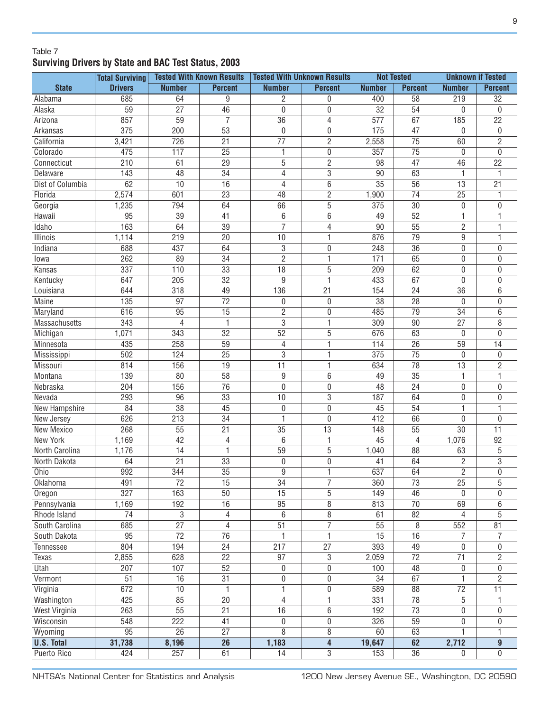#### Table 7 **Surviving Drivers by State and BAC Test Status, 2003**

|                      | <b>Total Surviving</b> |                 | <b>Tested With Known Results</b>   | <b>Tested With Unknown Results</b> |                         | <b>Not Tested</b> |                       | <b>Unknown if Tested</b>     |                 |
|----------------------|------------------------|-----------------|------------------------------------|------------------------------------|-------------------------|-------------------|-----------------------|------------------------------|-----------------|
| <b>State</b>         | <b>Drivers</b>         | <b>Number</b>   | <b>Percent</b>                     | <b>Number</b>                      | <b>Percent</b>          | <b>Number</b>     | <b>Percent</b>        | <b>Number</b>                | <b>Percent</b>  |
| Alabama              | 685                    | 64              | 9                                  | $\overline{c}$                     | $\mathbf 0$             | 400               | 58                    | 219                          | $\overline{32}$ |
| Alaska               | $\overline{59}$        | $\overline{27}$ | $\overline{46}$                    | $\mathbf 0$                        | $\mathbf 0$             | $\overline{32}$   | $\overline{54}$       | 0                            | 0               |
| Arizona              | 857                    | $\overline{59}$ | $\overline{7}$                     | 36                                 | 4                       | 577               | 67                    | 185                          | $\overline{22}$ |
| Arkansas             | 375                    | 200             | $\overline{53}$                    | $\mathbf 0$                        | 0                       | 175               | 47                    | 0                            | 0               |
| California           | 3,421                  | 726             | $\overline{21}$                    | $\overline{77}$                    | $\overline{c}$          | 2,558             | $\overline{75}$       | 60                           | $\overline{2}$  |
| Colorado             | 475                    | 117             | $\overline{25}$                    | $\mathbf{1}$                       | $\boldsymbol{0}$        | 357               | $\overline{75}$       | 0                            | 0               |
| Connecticut          | 210                    | 61              | $\overline{29}$                    | $\overline{5}$                     | $\overline{c}$          | 98                | $\overline{47}$       | 46                           | $\overline{22}$ |
| Delaware             | 143                    | 48              | 34                                 | $\overline{4}$                     | $\sqrt{3}$              | 90                | 63                    | 1                            |                 |
| Dist of Columbia     | 62                     | 10              | 16                                 | $\overline{4}$                     | 6                       | $\overline{35}$   | $\overline{56}$       | 13                           | 21              |
| Florida              | 2,574                  | 601             | 23                                 | 48                                 | $\overline{2}$          | 1,900             | 74                    | 25                           |                 |
| Georgia              | 1,235                  | 794             | 64                                 | 66                                 | $\overline{5}$          | 375               | $\overline{30}$       | 0                            | 0               |
| Hawaii               | 95                     | 39              | 41                                 | $6\phantom{a}$                     | $6\phantom{1}6$         | 49                | 52                    | 1                            |                 |
| Idaho                | 163                    | 64              | $\overline{39}$                    | $\overline{7}$                     | $\overline{4}$          | 90                | 55                    | $\sqrt{2}$                   |                 |
| Illinois             | 1,114                  | 219             | 20                                 | 10                                 | $\mathbf{1}$            | 876               | 79                    | 9                            | 1               |
| Indiana              | 688                    | 437             | 64                                 | 3                                  | $\mathbf 0$             | 248               | 36                    | 0                            | 0               |
| lowa                 | 262                    | 89              | 34                                 | $\overline{2}$                     | 1                       | 171               | 65                    | 0                            | 0               |
| Kansas               | 337                    | 110             | 33                                 | 18                                 | $\overline{5}$          | 209               | 62                    | $\pmb{0}$                    | 0               |
| Kentucky             | 647                    | 205             | $\overline{32}$                    | 9                                  | $\mathbf{1}$            | 433               | 67                    | 0                            | 0               |
| Louisiana            | 644                    | 318             | 49                                 | 136                                | $\overline{21}$         | 154               | $\overline{24}$       | 36                           | 6               |
| Maine                | 135                    | 97              | $\overline{72}$                    | $\pmb{0}$                          | $\mathbf 0$             | 38                | 28                    | 0                            | 0               |
| Maryland             | 616                    | 95              | $\overline{15}$                    | $\overline{2}$                     | $\mathbf{0}$            | 485               | 79                    | 34                           | 6               |
| <b>Massachusetts</b> | 343                    | 4               | 1                                  | $\overline{3}$                     | 1                       | 309               | 90                    | 27                           | 8               |
| Michigan             | 1,071                  | 343             | $\overline{32}$                    | $\overline{52}$                    | 5                       | 676               | 63                    | 0                            | 0               |
| Minnesota            | 435                    | 258             | 59                                 | 4                                  | 1                       | 114               | 26                    | 59                           | 14              |
| Mississippi          | 502                    | 124             | 25                                 | 3                                  | 1                       | 375               | 75                    | 0                            | 0               |
| Missouri             | 814                    | 156             | 19                                 | 11                                 | 1                       | 634               | 78                    | 13                           | $\overline{c}$  |
| Montana              | 139                    | 80              | 58                                 | $\boldsymbol{9}$                   | 6                       | 49                | 35                    | 1                            | 1               |
| Nebraska             | 204                    | 156             | $\overline{76}$                    | $\overline{0}$                     | 0                       | 48                | 24                    | $\pmb{0}$                    | 0               |
| Nevada               | 293                    | 96              | $\overline{33}$                    | 10                                 | 3                       | 187               | 64                    | 0                            | 0               |
| New Hampshire        | 84                     | 38              | $\overline{45}$                    | $\boldsymbol{0}$                   | $\mathbf 0$             | 45                | 54                    | 1                            | 1               |
| New Jersey           | 626                    | 213             | $\overline{34}$                    | 1                                  | $\mathbf 0$             | 412               | 66                    | 0                            | 0               |
| New Mexico           | 268                    | 55              | $\overline{21}$                    | 35                                 | 13                      | 148               | 55                    | 30                           | 11              |
| <b>New York</b>      | 1,169                  | 42              | $\overline{\mathcal{L}}$           | 6                                  | $\mathbf{1}$            | 45                | 4                     | 1,076                        | $\overline{92}$ |
| North Carolina       | 1,176                  | 14              | 1                                  | 59                                 | $\overline{5}$          | 1,040             | 88                    | 63                           | 5               |
| North Dakota         | 64                     | $\overline{21}$ | $\overline{33}$                    | $\boldsymbol{0}$                   | $\boldsymbol{0}$        | 41                | 64                    | $\overline{2}$               | $\overline{3}$  |
| Ohio                 | 992                    | 344             | $\overline{35}$                    | $\overline{9}$                     | 1                       | 637               | 64                    | $\overline{2}$               | 0               |
| Oklahoma             | 491                    | 72              | 15                                 | 34                                 | $\overline{7}$          | 360               | 73                    | 25                           | 5               |
| Oregon               | 327                    | 163             | $\overline{50}$                    | $\overline{15}$                    | $\overline{5}$          | 149               | 46                    | 0                            | 0               |
| Pennsylvania         | 1,169                  | 192             | 16                                 | 95                                 | $\,8\,$                 | 813               | $\overline{70}$       | 69                           | 6               |
| Rhode Island         | $\overline{74}$        | 3               | 4                                  | 6                                  | 8                       | 61                | 82                    | 4                            | 5               |
| South Carolina       | 685                    | $\overline{27}$ | $\overline{4}$                     | $\overline{51}$                    | $\overline{7}$          | $\overline{55}$   | 8                     | 552                          | 81              |
| South Dakota         | $\overline{95}$        | $\overline{72}$ | $\overline{76}$                    | $\mathbf{1}$                       | $\mathbf{1}$            | $\overline{15}$   | $\overline{16}$       | 7                            | 7               |
|                      |                        |                 |                                    |                                    |                         |                   |                       |                              |                 |
| Tennessee            | 804                    | 194             | $\overline{24}$<br>$\overline{22}$ | 217                                | 27                      | 393               | 49<br>$\overline{72}$ | $\pmb{0}$<br>$\overline{71}$ | 0               |
| Texas                | 2,855                  | 628             |                                    | 97                                 | 3                       | 2,059             |                       |                              | $\overline{2}$  |
| Utah                 | 207                    | 107             | $\overline{52}$                    | $\boldsymbol{0}$                   | 0                       | 100               | 48                    | 0                            | 0               |
| Vermont              | $\overline{51}$        | 16              | $\overline{31}$                    | $\boldsymbol{0}$                   | $\pmb{0}$               | $\overline{34}$   | 67                    | $\overline{1}$               | $\overline{2}$  |
| Virginia             | 672                    | 10              | 1                                  | $\overline{1}$                     | 0                       | 589               | 88                    | $\overline{72}$              | $\overline{11}$ |
| Washington           | 425                    | 85              | $\overline{20}$                    | 4                                  | $\mathbf{1}$            | 331               | 78                    | 5                            |                 |
| West Virginia        | 263                    | $\overline{55}$ | $\overline{21}$                    | 16                                 | $\overline{6}$          | 192               | $\overline{73}$       | 0                            | 0               |
| Wisconsin            | 548                    | 222             | 41                                 | $\boldsymbol{0}$                   | $\pmb{0}$               | 326               | 59                    | 0                            | 0               |
| Wyoming              | $\overline{95}$        | $\overline{26}$ | $\overline{27}$                    | 8                                  | 8                       | 60                | 63                    | 1                            | 1               |
| <b>U.S. Total</b>    | 31,738                 | 8,196           | $\overline{26}$                    | 1,183                              | $\overline{\mathbf{4}}$ | 19,647            | 62                    | 2,712                        | $\overline{9}$  |
| <b>Puerto Rico</b>   | 424                    | 257             | 61                                 | $\overline{14}$                    | $\overline{3}$          | 153               | $\overline{36}$       | $\mathbf 0$                  | 0               |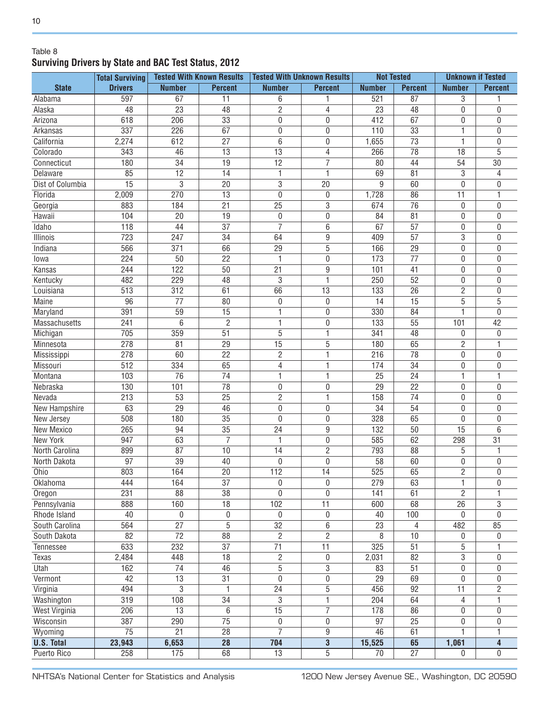#### Table 8 **Surviving Drivers by State and BAC Test Status, 2012**

|                      | <b>Total Surviving</b> |                  | <b>Tested With Known Results</b> | <b>Tested With Unknown Results</b> |                  | <b>Not Tested</b> |                 | <b>Unknown if Tested</b> |                 |
|----------------------|------------------------|------------------|----------------------------------|------------------------------------|------------------|-------------------|-----------------|--------------------------|-----------------|
| <b>State</b>         | <b>Drivers</b>         | <b>Number</b>    | <b>Percent</b>                   | <b>Number</b>                      | <b>Percent</b>   | <b>Number</b>     | <b>Percent</b>  | <b>Number</b>            | <b>Percent</b>  |
| Alabama              | 597                    | 67               | 11                               | 6                                  | 1                | 521               | $\overline{87}$ | 3                        |                 |
| Alaska               | 48                     | $\overline{23}$  | 48                               | $\overline{2}$                     | 4                | 23                | 48              | 0                        | 0               |
| Arizona              | 618                    | 206              | $\overline{33}$                  | $\overline{0}$                     | 0                | 412               | 67              | $\boldsymbol{0}$         | 0               |
| Arkansas             | 337                    | 226              | $\overline{67}$                  | $\boldsymbol{0}$                   | 0                | 110               | $\overline{33}$ | 1                        | 0               |
| California           | 2,274                  | 612              | $\overline{27}$                  | 6                                  | $\mathbf 0$      | 1,655             | $\overline{73}$ | 1                        | 0               |
| Colorado             | 343                    | 46               | $\overline{13}$                  | 13                                 | 4                | 266               | $\overline{78}$ | 18                       | 5               |
| Connecticut          | 180                    | 34               | $\overline{19}$                  | $\overline{12}$                    | 7                | 80                | 44              | 54                       | 30              |
| Delaware             | 85                     | 12               | 14                               | $\mathbf{1}$                       | $\mathbf{1}$     | 69                | 81              | 3                        | 4               |
| Dist of Columbia     | $\overline{15}$        | 3                | $\overline{20}$                  | $\overline{3}$                     | $\overline{20}$  | 9                 | 60              | 0                        | $\overline{0}$  |
| Florida              | 2,009                  | 270              | $\overline{13}$                  | $\mathbf 0$                        | $\boldsymbol{0}$ | 1,728             | 86              | 11                       | 1               |
| Georgia              | 883                    | 184              | $\overline{21}$                  | $\overline{25}$                    | $\overline{3}$   | 674               | $\overline{76}$ | 0                        | 0               |
| Hawaii               | 104                    | 20               | 19                               | $\boldsymbol{0}$                   | $\mathbf 0$      | 84                | 81              | 0                        | 0               |
| <b>Idaho</b>         | 118                    | 44               | 37                               | $\overline{7}$                     | 6                | 67                | 57              | $\boldsymbol{0}$         | $\overline{0}$  |
| <b>Illinois</b>      | $\overline{723}$       | 247              | $\overline{34}$                  | 64                                 | $\overline{9}$   | 409               | $\overline{57}$ | 3                        | 0               |
| Indiana              | 566                    | 371              | 66                               | 29                                 | 5                | 166               | 29              | 0                        | 0               |
| lowa                 | 224                    | 50               | $\overline{22}$                  | $\mathbf{1}$                       | $\mathbf 0$      | 173               | $\overline{77}$ | 0                        | 0               |
| Kansas               | 244                    | 122              | 50                               | 21                                 | $\overline{9}$   | 101               | 41              | 0                        | 0               |
| Kentucky             | 482                    | 229              | 48                               | 3                                  | 1                | 250               | 52              | $\boldsymbol{0}$         | 0               |
| Louisiana            | 513                    | 312              | 61                               | 66                                 | 13               | 133               | $\overline{26}$ | $\overline{c}$           | 0               |
| Maine                | 96                     | 77               | 80                               | $\pmb{0}$                          | $\mathbf 0$      | 14                | 15              | 5                        | 5               |
| Maryland             | 391                    | 59               | 15                               | 1                                  | $\mathbf 0$      | 330               | 84              | 1                        | $\overline{0}$  |
| Massachusetts        | 241                    | 6                | $\overline{2}$                   | 1                                  | 0                | 133               | 55              | 101                      | 42              |
| Michigan             | 705                    | 359              | 51                               | $\overline{5}$                     | 1                | 341               | 48              | 0                        | $\mathbf 0$     |
| Minnesota            | 278                    | 81               | 29                               | 15                                 | 5                | 180               | 65              | $\overline{c}$           | 1               |
| Mississippi          | 278                    | 60               | $\overline{22}$                  | $\overline{2}$                     | 1                | 216               | 78              | 0                        | 0               |
| Missouri             | 512                    | 334              | 65                               | $\overline{4}$                     | 1                | 174               | 34              | $\boldsymbol{0}$         | 0               |
| Montana              | 103                    | 76               | 74                               | $\overline{1}$                     | 1                | 25                | 24              | 1                        |                 |
| Nebraska             | 130                    | 101              | 78                               | $\pmb{0}$                          | 0                | 29                | 22              | 0                        | 0               |
| Nevada               | 213                    | 53               | $\overline{25}$                  | $\overline{2}$                     | 1                | 158               | 74              | 0                        | 0               |
| <b>New Hampshire</b> | 63                     | $\overline{29}$  | $\overline{46}$                  | $\overline{0}$                     | $\mathbf 0$      | $\overline{34}$   | $\overline{54}$ | 0                        | 0               |
| New Jersey           | 508                    | 180              | $\overline{35}$                  | $\overline{0}$                     | $\mathbf 0$      | 328               | 65              | 0                        | 0               |
| New Mexico           | 265                    | 94               | $\overline{35}$                  | 24                                 | 9                | 132               | 50              | 15                       | 6               |
| <b>New York</b>      | 947                    | 63               | $\overline{7}$                   | 1                                  | $\mathbf 0$      | 585               | 62              | 298                      | $\overline{31}$ |
| North Carolina       | 899                    | 87               | 10                               | 14                                 | $\overline{2}$   | 793               | 88              | 5                        | 1               |
| North Dakota         | 97                     | 39               | 40                               | $\mathbf 0$                        | $\mathbf 0$      | 58                | 60              | 0                        | 0               |
| Ohio                 | 803                    | 164              | $\overline{20}$                  | 112                                | $\overline{14}$  | 525               | 65              | $\overline{2}$           | 0               |
| Oklahoma             | 444                    | 164              | $\overline{37}$                  | $\pmb{0}$                          | $\boldsymbol{0}$ | 279               | 63              | 1                        | $\pmb{0}$       |
| Oregon               | 231                    | $\overline{88}$  | $\overline{38}$                  | $\overline{0}$                     | $\overline{0}$   | 141               | 61              | $\overline{2}$           |                 |
| Pennsylvania         | 888                    | 160              | $\overline{18}$                  | 102                                | $\overline{11}$  | 600               | 68              | $\overline{26}$          | 3               |
| Rhode Island         | 40                     | $\boldsymbol{0}$ | $\boldsymbol{0}$                 | $\pmb{0}$                          | $\pmb{0}$        | 40                | 100             | 0                        | $\pmb{0}$       |
| South Carolina       | 564                    | $\overline{27}$  | $\overline{5}$                   | $\overline{32}$                    | $\overline{6}$   | 23                | $\overline{4}$  | 482                      | 85              |
| South Dakota         | $\overline{82}$        | $\overline{72}$  | $\overline{88}$                  | $\overline{2}$                     | $\overline{2}$   | 8                 | 10              | 0                        | 0               |
| Tennessee            | 633                    | 232              | $\overline{37}$                  | $\overline{71}$                    | $\overline{11}$  | 325               | $\overline{51}$ | 5                        |                 |
| Texas                | 2,484                  | 448              | $\overline{18}$                  | $\overline{2}$                     | $\pmb{0}$        | 2,031             | 82              | $\overline{3}$           | 0               |
| Utah                 | 162                    | $\overline{74}$  | 46                               | $\overline{5}$                     | 3                | 83                | 51              | $\boldsymbol{0}$         | 0               |
| Vermont              | 42                     | $\overline{13}$  | $\overline{31}$                  | $\boldsymbol{0}$                   | $\boldsymbol{0}$ | $\overline{29}$   | 69              | 0                        | 0               |
| Virginia             | 494                    | 3                | 1                                | $\overline{24}$                    | 5                | 456               | $\overline{92}$ | $\overline{11}$          | $\overline{2}$  |
| Washington           | $\overline{319}$       | $\overline{108}$ | $\overline{34}$                  | $\overline{3}$                     | $\mathbf 1$      | 204               | 64              | 4                        | 1               |
| <b>West Virginia</b> | 206                    | $\overline{13}$  | 6                                | $\overline{15}$                    | 7                | 178               | 86              | 0                        | 0               |
| Wisconsin            | 387                    | 290              | $\overline{75}$                  | $\boldsymbol{0}$                   | $\boldsymbol{0}$ | 97                | $\overline{25}$ | 0                        | 0               |
| Wyoming              | $\overline{75}$        | $\overline{21}$  | $\overline{28}$                  | $\overline{7}$                     | $\boldsymbol{9}$ | 46                | 61              | 1                        | 1               |
| <b>U.S. Total</b>    | 23,943                 | 6,653            | $\overline{28}$                  | 704                                | $\overline{3}$   | 15,525            | 65              | 1,061                    | 4               |
| Puerto Rico          | 258                    | 175              | 68                               | $\overline{13}$                    | $\overline{5}$   | $\overline{70}$   | $\overline{27}$ | $\mathbf{0}$             | 0               |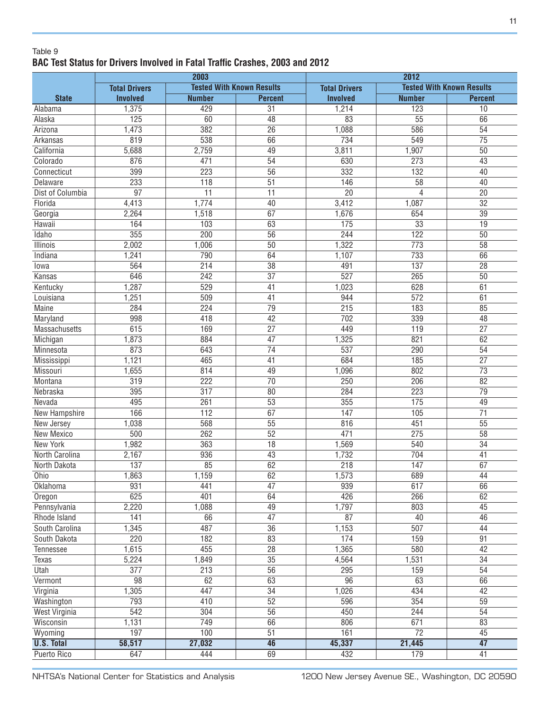#### Table 9 **BAC Test Status for Drivers Involved in Fatal Traffic Crashes, 2003 and 2012**

|                      |                      | 2003                             |                       | 2012                 |                  |                                  |  |  |
|----------------------|----------------------|----------------------------------|-----------------------|----------------------|------------------|----------------------------------|--|--|
|                      | <b>Total Drivers</b> | <b>Tested With Known Results</b> |                       | <b>Total Drivers</b> |                  | <b>Tested With Known Results</b> |  |  |
| <b>State</b>         | <b>Involved</b>      | <b>Number</b>                    | <b>Percent</b>        | <b>Involved</b>      | <b>Number</b>    | <b>Percent</b>                   |  |  |
| Alabama              | 1,375                | 429                              | $\overline{31}$       | 1,214                | 123              | 10                               |  |  |
| Alaska               | 125                  | 60                               | $\overline{48}$       | 83                   | $\overline{55}$  | 66                               |  |  |
| Arizona              | 1,473                | 382                              | $\overline{26}$       | 1,088                | 586              | $\overline{54}$                  |  |  |
| Arkansas             | 819                  | 538                              | 66                    | 734                  | 549              | $\overline{75}$                  |  |  |
| California           | 5,688                | 2,759                            | 49                    | 3,811                | 1,907            | 50                               |  |  |
| Colorado             | 876                  | 471                              | 54                    | 630                  | 273              | 43                               |  |  |
| Connecticut          | 399                  | $\overline{223}$                 | $\overline{56}$       | 332                  | $\overline{132}$ | 40                               |  |  |
| Delaware             | 233                  | 118                              | $\overline{51}$       | 146                  | $\overline{58}$  | 40                               |  |  |
| Dist of Columbia     | $\overline{97}$      | $\overline{11}$                  | $\overline{11}$       | $\overline{20}$      | 4                | $\overline{20}$                  |  |  |
| Florida              | 4,413                | 1,774                            | 40                    | 3,412                | 1,087            | $\overline{32}$                  |  |  |
| Georgia              | 2,264                | 1,518                            | 67                    | 1,676                | 654              | $\overline{39}$                  |  |  |
| Hawaii               | 164                  | 103                              | 63                    | 175                  | $\overline{33}$  | 19                               |  |  |
| Idaho                | 355                  | 200                              | $\overline{56}$       | 244                  | 122              | 50                               |  |  |
|                      |                      |                                  | $\overline{50}$       |                      | 773              | $\overline{58}$                  |  |  |
| <b>Illinois</b>      | 2,002                | 1,006                            |                       | 1,322                |                  |                                  |  |  |
| Indiana              | 1,241                | 790                              | 64                    | 1,107                | 733              | 66                               |  |  |
| lowa                 | 564                  | $\overline{214}$                 | $\overline{38}$       | 491                  | 137              | $\overline{28}$                  |  |  |
| Kansas               | 646                  | 242                              | $\overline{37}$       | $\overline{527}$     | 265              | $\overline{50}$                  |  |  |
| Kentucky             | 1,287                | 529                              | $\overline{41}$       | 1,023                | 628              | 61                               |  |  |
| Louisiana            | 1,251                | 509                              | $\overline{41}$       | 944                  | 572              | 61                               |  |  |
| <b>Maine</b>         | 284                  | 224                              | $\overline{79}$       | $\overline{215}$     | 183              | 85                               |  |  |
| Maryland             | 998                  | 418                              | 42                    | 702                  | 339              | 48                               |  |  |
| Massachusetts        | 615                  | 169                              | $\overline{27}$       | 449                  | 119              | $\overline{27}$                  |  |  |
| Michigan             | 1,873                | 884                              | 47                    | 1,325                | 821              | 62                               |  |  |
| Minnesota            | 873                  | 643                              | 74                    | 537                  | 290              | 54                               |  |  |
| Mississippi          | 1,121                | 465                              | 41                    | 684                  | 185              | $\overline{27}$                  |  |  |
| Missouri             | 1,655                | 814                              | 49                    | 1,096                | 802              | $\overline{73}$                  |  |  |
| Montana              | $\overline{319}$     | 222                              | $\overline{70}$       | $\overline{250}$     | $\overline{206}$ | $\overline{82}$                  |  |  |
| Nebraska             | 395                  | $\overline{317}$                 | 80                    | 284                  | 223              | $\overline{79}$                  |  |  |
| Nevada               | 495                  | 261                              | $\overline{53}$       | 355                  | 175              | 49                               |  |  |
| <b>New Hampshire</b> | 166                  | $\overline{112}$                 | 67                    | 147                  | 105              | $\overline{71}$                  |  |  |
| New Jersey           | 1,038                | 568                              | $\overline{55}$       | 816                  | 451              | 55                               |  |  |
| <b>New Mexico</b>    | 500                  | $\overline{262}$                 | 52                    | 471                  | 275              | $\overline{58}$                  |  |  |
| <b>New York</b>      | 1,982                | 363                              | 18                    | 1,569                | 540              | $\overline{34}$                  |  |  |
| North Carolina       | 2,167                | 936                              | $\overline{43}$       | 1,732                | 704              | 41                               |  |  |
| North Dakota         | 137                  | 85                               | 62                    | $\overline{218}$     | 147              | 67                               |  |  |
| Ohio                 | 1,863                | 1,159                            | 62                    | $\frac{1,573}{ }$    | 689              | 44                               |  |  |
| Oklahoma             | 931                  | 441                              | $\overline{47}$       | 939                  | 617              | 66                               |  |  |
| Oregon               | 625                  | 401                              | 64                    | 426                  | 266              | 62                               |  |  |
| Pennsylvania         | 2,220                | 1,088                            | 49                    | 1,797                | 803              | 45                               |  |  |
| Rhode Island         | 141                  | 66                               | 47                    | $\overline{87}$      | 40               | 46                               |  |  |
| South Carolina       | 1,345                | 487                              | 36                    | 1,153                | 507              | 44                               |  |  |
| South Dakota         | 220                  | 182                              | 83                    | 174                  | 159              | 91                               |  |  |
| Tennessee            | 1,615                | 455                              | 28                    | 1,365                | 580              | 42                               |  |  |
| <b>Texas</b>         | 5,224                | 1,849                            | 35                    | 4,564                | 1,531            | 34                               |  |  |
| <b>Utah</b>          | 377                  | 213                              | 56                    | 295                  | 159              | 54                               |  |  |
|                      | 98                   |                                  |                       | 96                   | 63               |                                  |  |  |
| Vermont              |                      | 62<br>447                        | 63<br>$\overline{34}$ |                      | 434              | 66<br>$\overline{42}$            |  |  |
| Virginia             | 1,305                |                                  |                       | 1,026                |                  |                                  |  |  |
| Washington           | 793                  | 410                              | $\overline{52}$       | 596                  | 354              | $\overline{59}$                  |  |  |
| <b>West Virginia</b> | $\overline{542}$     | 304                              | $\overline{56}$       | 450                  | 244              | 54                               |  |  |
| Wisconsin            | 1,131                | 749                              | 66                    | 806                  | 671              | 83                               |  |  |
| Wyoming              | 197                  | 100                              | 51                    | 161                  | $\overline{72}$  | 45                               |  |  |
| <b>U.S. Total</b>    | 58,517               | 27,032                           | 46                    | 45,337               | 21,445           | $\overline{47}$                  |  |  |
| <b>Puerto Rico</b>   | 647                  | 444                              | 69                    | 432                  | 179              | 41                               |  |  |